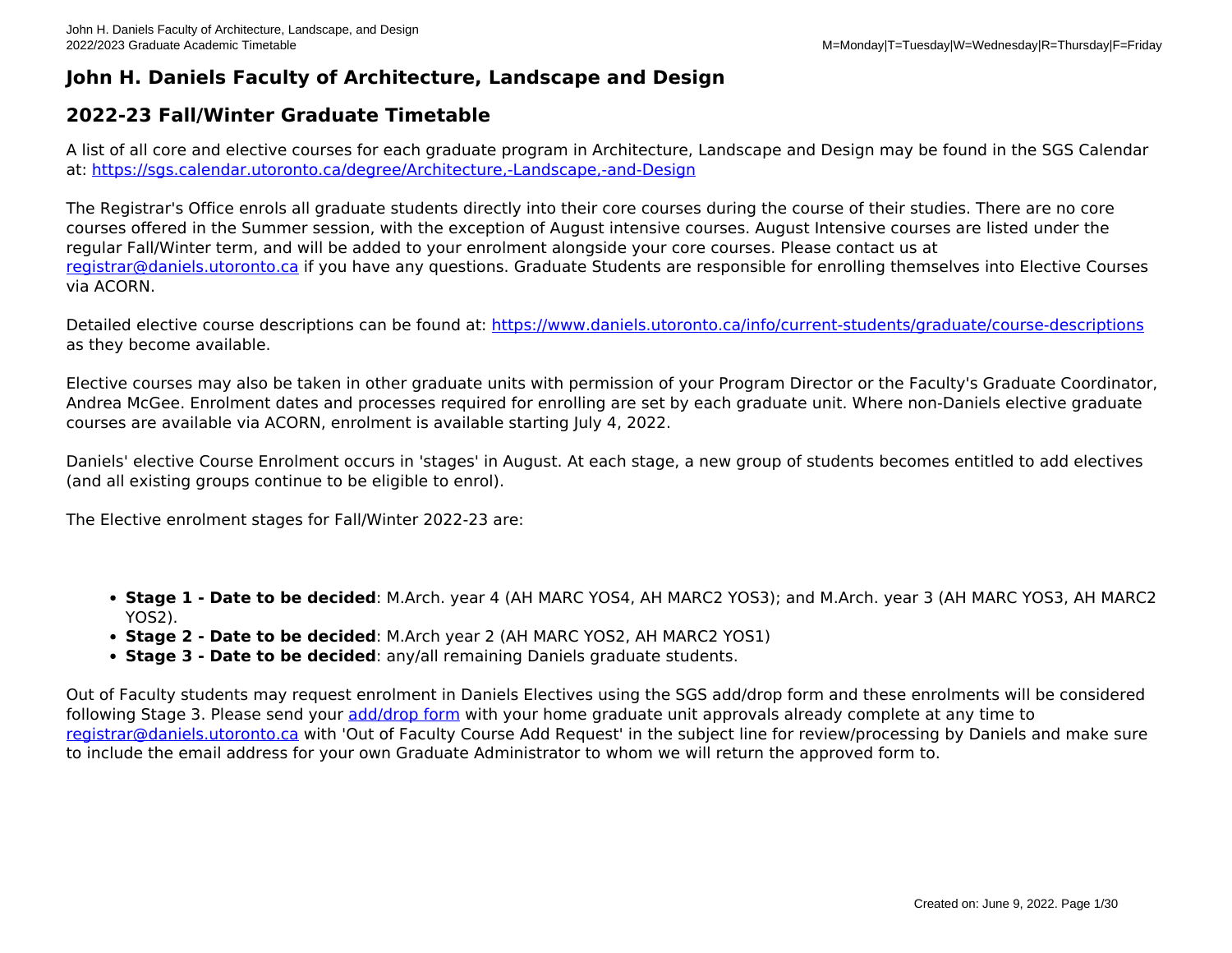## **John H. Daniels Faculty of Architecture, Landscape and Design**

## **2022-23 Fall/Winter Graduate Timetable**

A list of all core and elective courses for each graduate program in Architecture, Landscape and Design may be found in the SGS Calendar at:<https://sgs.calendar.utoronto.ca/degree/Architecture,-Landscape,-and-Design>

The Registrar's Office enrols all graduate students directly into their core courses during the course of their studies. There are no core courses offered in the Summer session, with the exception of August intensive courses. August Intensive courses are listed under the regular Fall/Winter term, and will be added to your enrolment alongside your core courses. Please contact us at [registrar@daniels.utoronto.ca](mailto:registrar@daniels.utoronto.ca) if you have any questions. Graduate Students are responsible for enrolling themselves into Elective Courses via ACORN.

Detailed elective course descriptions can be found at:<https://www.daniels.utoronto.ca/info/current-students/graduate/course-descriptions> as they become available.

Elective courses may also be taken in other graduate units with permission of your Program Director or the Faculty's Graduate Coordinator, Andrea McGee. Enrolment dates and processes required for enrolling are set by each graduate unit. Where non-Daniels elective graduate courses are available via ACORN, enrolment is available starting July 4, 2022.

Daniels' elective Course Enrolment occurs in 'stages' in August. At each stage, a new group of students becomes entitled to add electives (and all existing groups continue to be eligible to enrol).

The Elective enrolment stages for Fall/Winter 2022-23 are:

- **Stage 1 Date to be decided**: M.Arch. year 4 (AH MARC YOS4, AH MARC2 YOS3); and M.Arch. year 3 (AH MARC YOS3, AH MARC2 YOS2).
- **Stage 2 Date to be decided**: M.Arch year 2 (AH MARC YOS2, AH MARC2 YOS1)
- **Stage 3 Date to be decided**: any/all remaining Daniels graduate students.

Out of Faculty students may request enrolment in Daniels Electives using the SGS add/drop form and these enrolments will be considered following Stage 3. Please send your [add/drop form](https://www.sgs.utoronto.ca/wp-content/uploads/sites/253/2019/06/AddDropCourses.pdf) with your home graduate unit approvals already complete at any time to [registrar@daniels.utoronto.ca](mailto:registrar@daniels.utoronto.ca) with 'Out of Faculty Course Add Request' in the subject line for review/processing by Daniels and make sure to include the email address for your own Graduate Administrator to whom we will return the approved form to.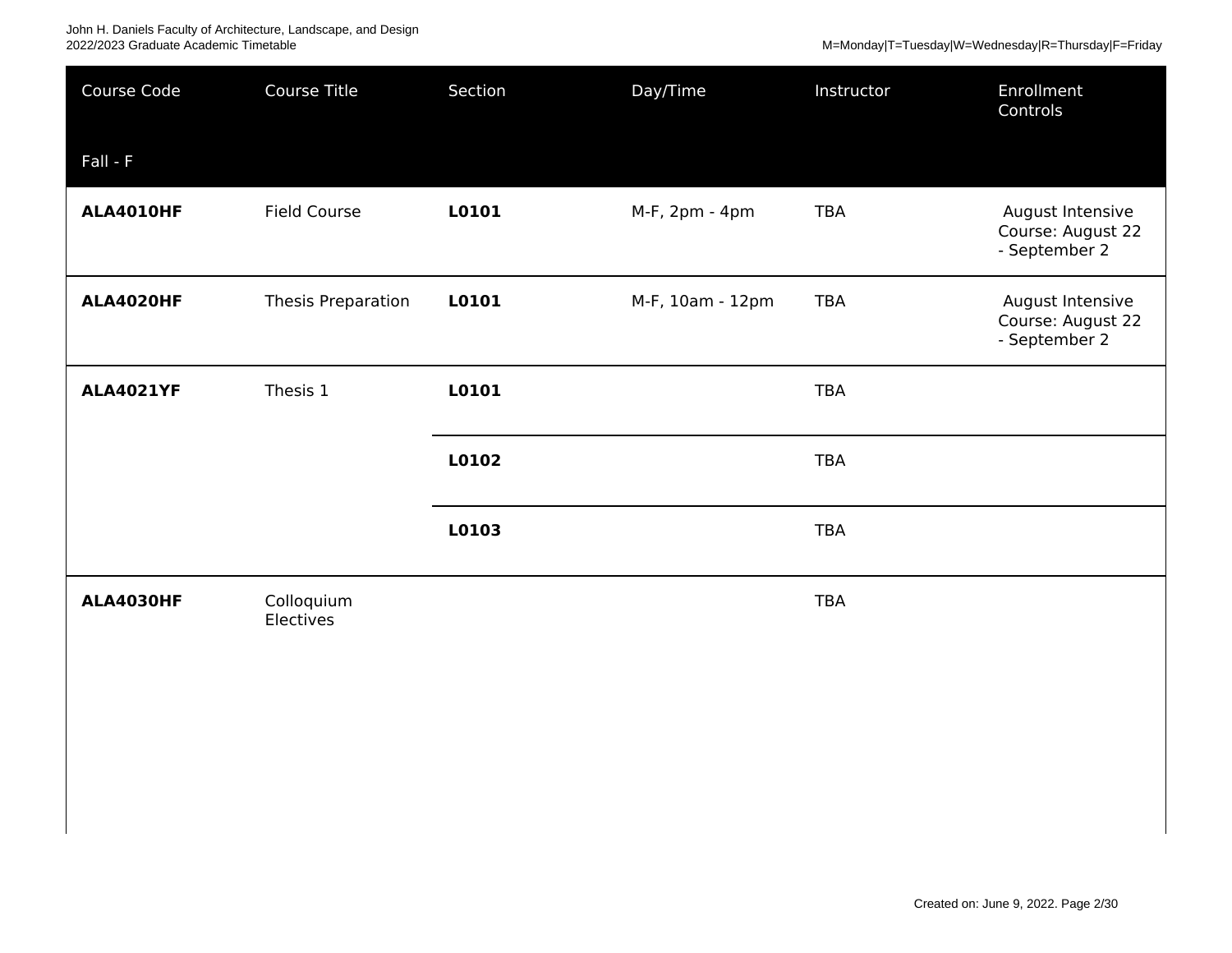## John H. Daniels Faculty of Architecture, Landscape, and Design 2022/2023 Graduate Academic Timetable M=Monday|T=Tuesday|W=Wednesday|R=Thursday|F=Friday

| Course Code      | Course Title            | Section | Day/Time         | Instructor | Enrollment<br>Controls                                 |
|------------------|-------------------------|---------|------------------|------------|--------------------------------------------------------|
| $Fall - F$       |                         |         |                  |            |                                                        |
| <b>ALA4010HF</b> | <b>Field Course</b>     | L0101   | M-F, 2pm - 4pm   | <b>TBA</b> | August Intensive<br>Course: August 22<br>- September 2 |
| ALA4020HF        | Thesis Preparation      | L0101   | M-F, 10am - 12pm | TBA        | August Intensive<br>Course: August 22<br>- September 2 |
| <b>ALA4021YF</b> | Thesis 1                | L0101   |                  | <b>TBA</b> |                                                        |
|                  |                         | L0102   |                  | <b>TBA</b> |                                                        |
|                  |                         | L0103   |                  | <b>TBA</b> |                                                        |
| <b>ALA4030HF</b> | Colloquium<br>Electives |         |                  | <b>TBA</b> |                                                        |
|                  |                         |         |                  |            |                                                        |
|                  |                         |         |                  |            |                                                        |
|                  |                         |         |                  |            |                                                        |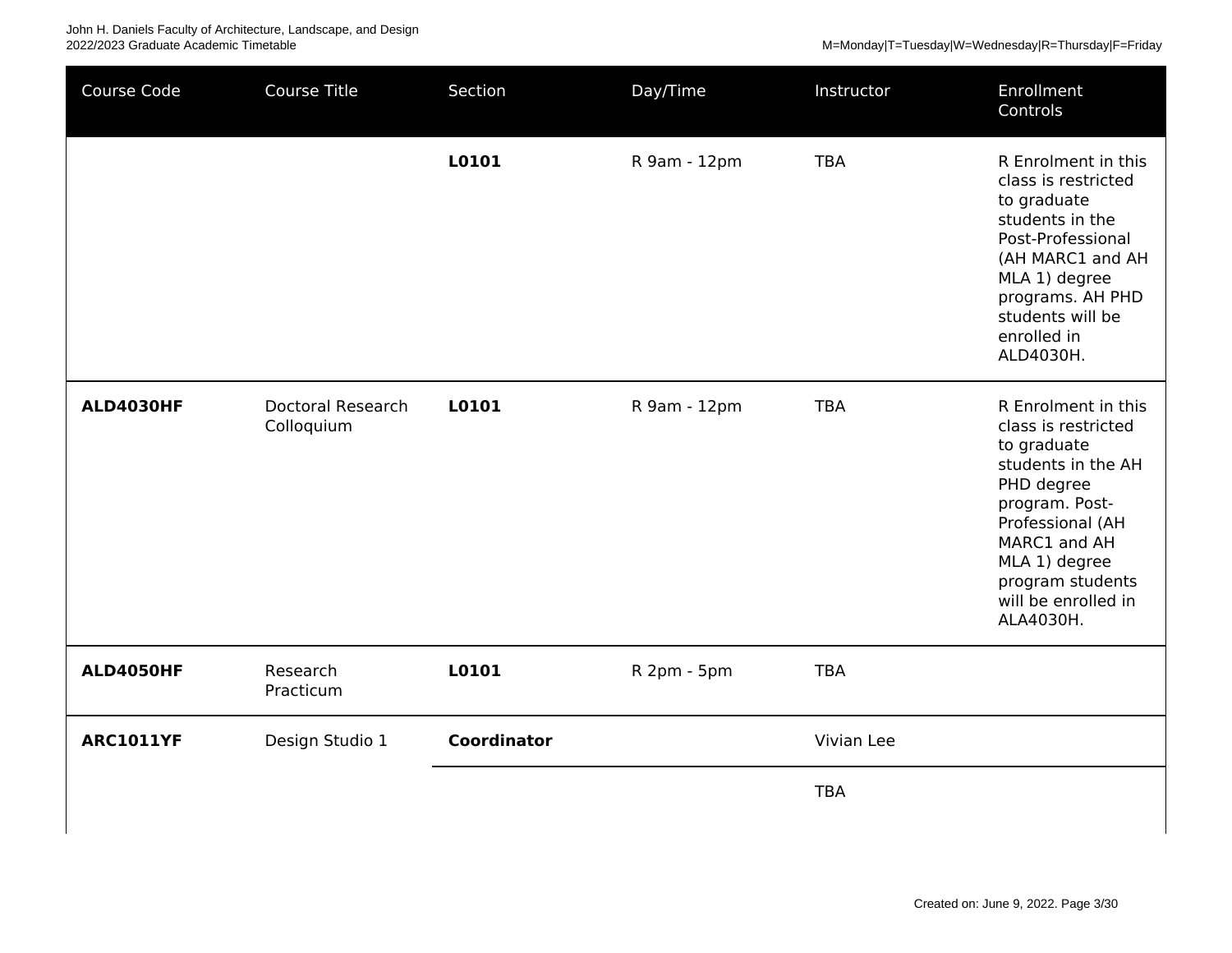M=Monday|T=Tuesday|W=Wednesday|R=Thursday|F=Friday

| Course Code      | Course Title                    | Section            | Day/Time     | Instructor | Enrollment<br>Controls                                                                                                                                                                                                       |
|------------------|---------------------------------|--------------------|--------------|------------|------------------------------------------------------------------------------------------------------------------------------------------------------------------------------------------------------------------------------|
|                  |                                 | L0101              | R 9am - 12pm | <b>TBA</b> | R Enrolment in this<br>class is restricted<br>to graduate<br>students in the<br>Post-Professional<br>(AH MARC1 and AH<br>MLA 1) degree<br>programs. AH PHD<br>students will be<br>enrolled in<br>ALD4030H.                   |
| <b>ALD4030HF</b> | Doctoral Research<br>Colloquium | L0101              | R 9am - 12pm | <b>TBA</b> | R Enrolment in this<br>class is restricted<br>to graduate<br>students in the AH<br>PHD degree<br>program. Post-<br>Professional (AH<br>MARC1 and AH<br>MLA 1) degree<br>program students<br>will be enrolled in<br>ALA4030H. |
| <b>ALD4050HF</b> | Research<br>Practicum           | L0101              | R 2pm - 5pm  | <b>TBA</b> |                                                                                                                                                                                                                              |
| <b>ARC1011YF</b> | Design Studio 1                 | <b>Coordinator</b> |              | Vivian Lee |                                                                                                                                                                                                                              |
|                  |                                 |                    |              | <b>TBA</b> |                                                                                                                                                                                                                              |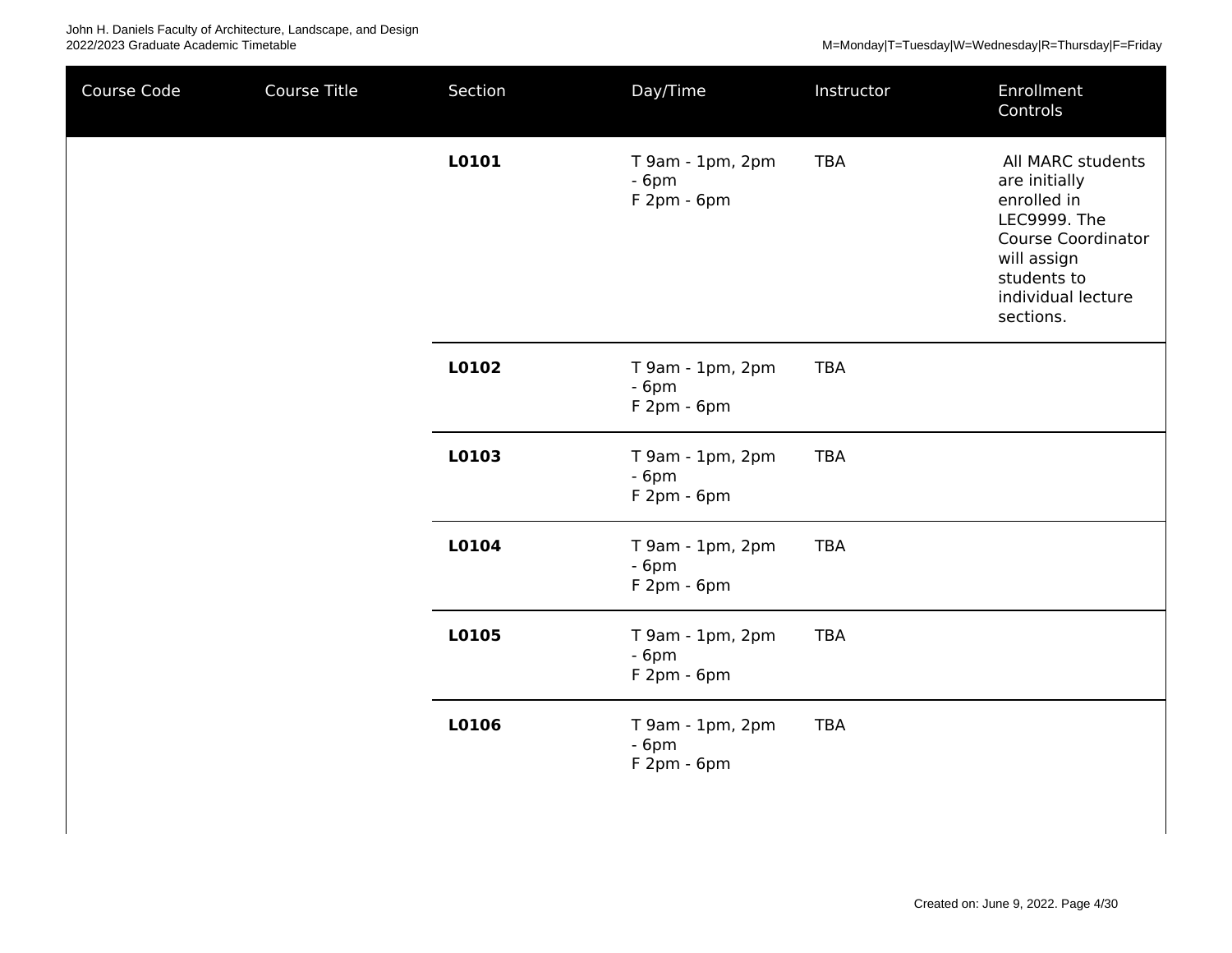| Course Code | Course Title | Section | Day/Time                                   | Instructor | Enrollment<br>Controls                                                                                                                                          |
|-------------|--------------|---------|--------------------------------------------|------------|-----------------------------------------------------------------------------------------------------------------------------------------------------------------|
|             |              | L0101   | T 9am - 1pm, 2pm<br>$-6pm$<br>$F2pm - 6pm$ | <b>TBA</b> | All MARC students<br>are initially<br>enrolled in<br>LEC9999. The<br><b>Course Coordinator</b><br>will assign<br>students to<br>individual lecture<br>sections. |
|             |              | L0102   | T 9am - 1pm, 2pm<br>$-6pm$<br>$F2pm - 6pm$ | <b>TBA</b> |                                                                                                                                                                 |
|             |              | L0103   | T 9am - 1pm, 2pm<br>$-6pm$<br>$F2pm - 6pm$ | <b>TBA</b> |                                                                                                                                                                 |
|             |              | L0104   | T 9am - 1pm, 2pm<br>$-6pm$<br>$F2pm - 6pm$ | <b>TBA</b> |                                                                                                                                                                 |
|             |              | L0105   | T 9am - 1pm, 2pm<br>$-6pm$<br>$F2pm - 6pm$ | <b>TBA</b> |                                                                                                                                                                 |
|             |              | L0106   | T 9am - 1pm, 2pm<br>$-6pm$<br>$F2pm - 6pm$ | <b>TBA</b> |                                                                                                                                                                 |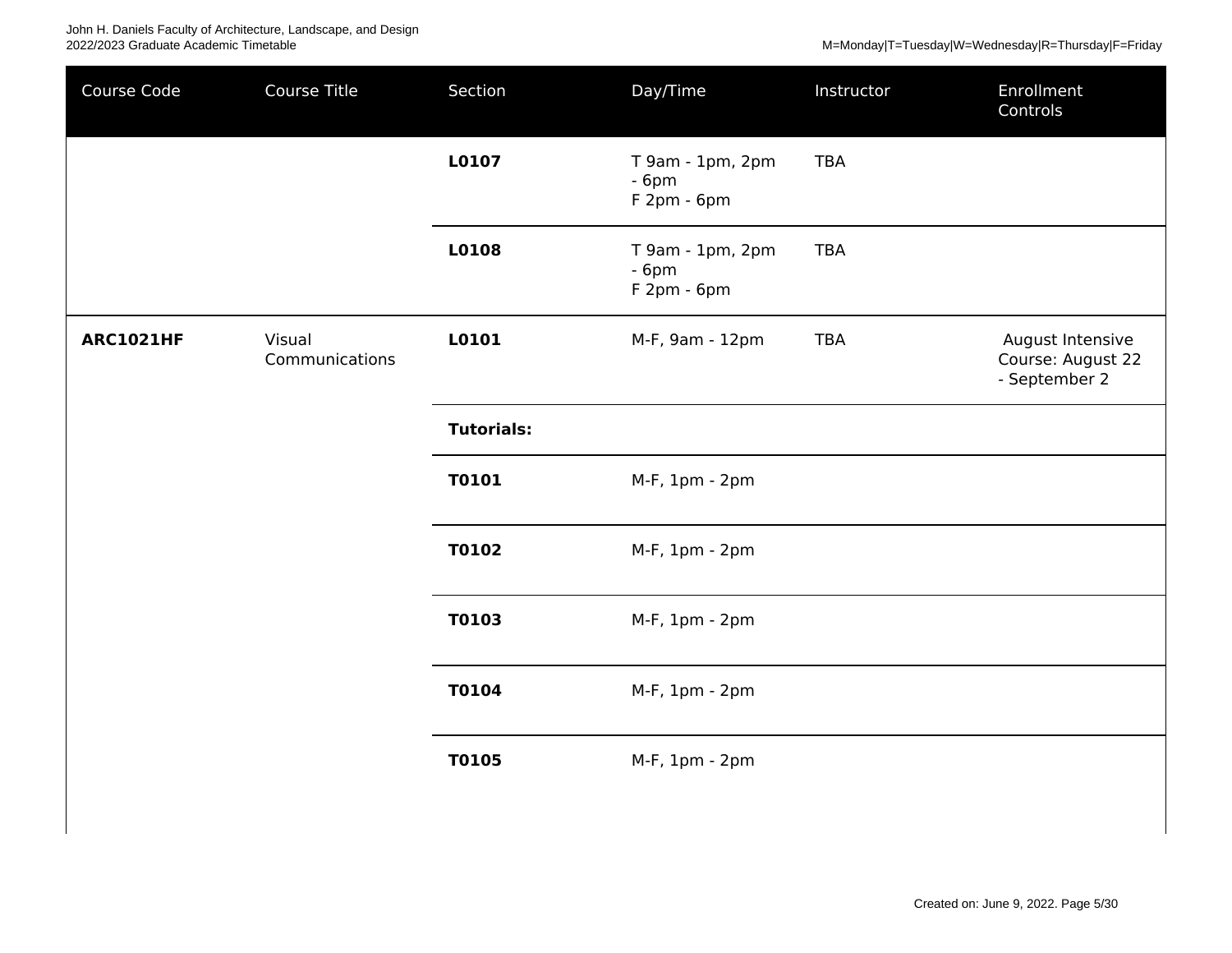| Course Code      | Course Title             | Section           | Day/Time                                  | Instructor | Enrollment<br>Controls                                 |
|------------------|--------------------------|-------------------|-------------------------------------------|------------|--------------------------------------------------------|
|                  |                          | L0107             | T 9am - 1pm, 2pm<br>$-6pm$<br>F 2pm - 6pm | <b>TBA</b> |                                                        |
|                  |                          | L0108             | T 9am - 1pm, 2pm<br>$-6pm$<br>F 2pm - 6pm | <b>TBA</b> |                                                        |
| <b>ARC1021HF</b> | Visual<br>Communications | L0101             | M-F, 9am - 12pm                           | <b>TBA</b> | August Intensive<br>Course: August 22<br>- September 2 |
|                  |                          | <b>Tutorials:</b> |                                           |            |                                                        |
|                  |                          | T0101             | M-F, 1pm - 2pm                            |            |                                                        |
|                  |                          | T0102             | M-F, 1pm - 2pm                            |            |                                                        |
|                  |                          | T0103             | M-F, 1pm - 2pm                            |            |                                                        |
|                  |                          | T0104             | M-F, 1pm - 2pm                            |            |                                                        |
|                  |                          | <b>T0105</b>      | M-F, 1pm - 2pm                            |            |                                                        |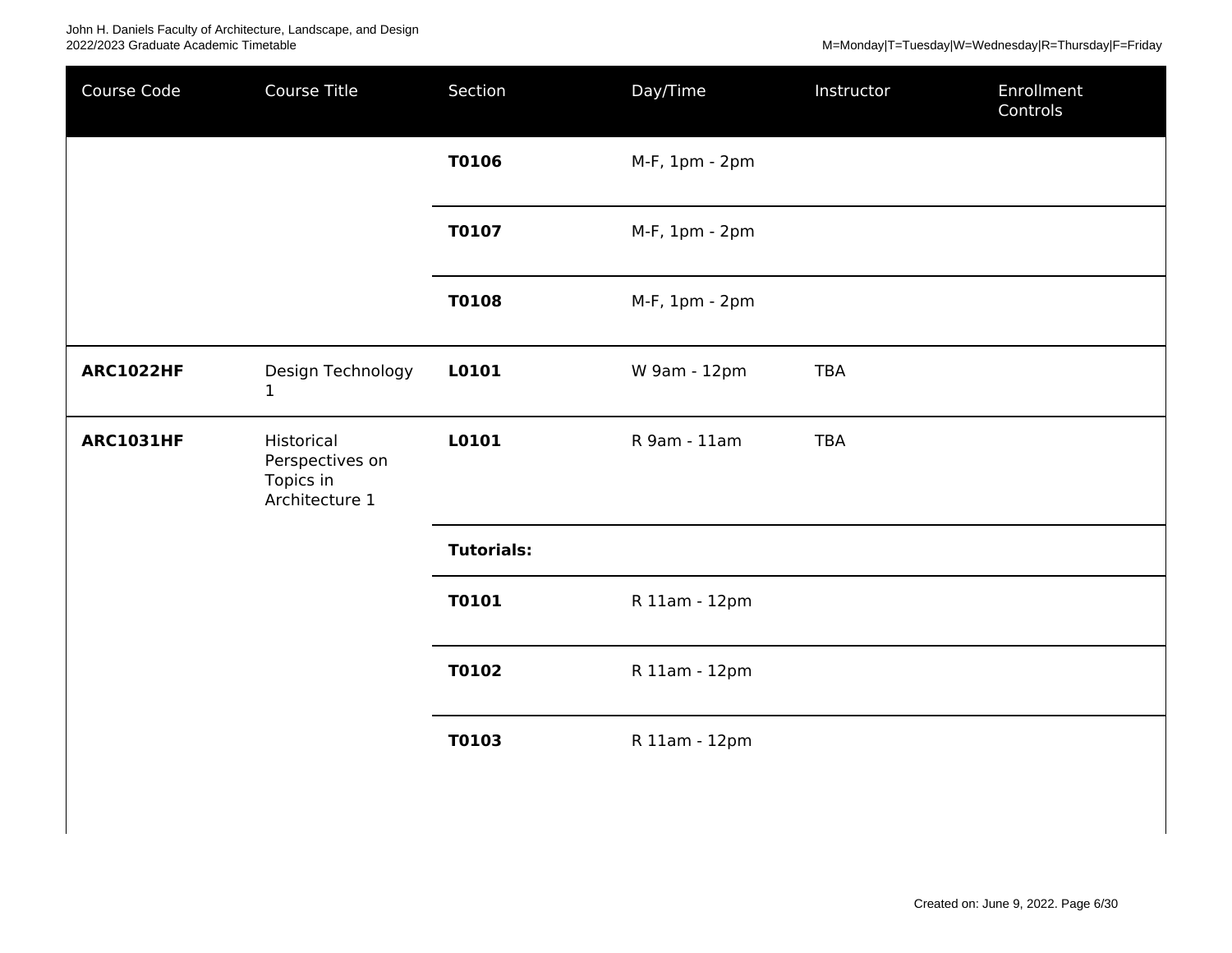| Course Code      | Course Title                                                 | Section           | Day/Time       | Instructor | Enrollment<br>Controls |
|------------------|--------------------------------------------------------------|-------------------|----------------|------------|------------------------|
|                  |                                                              | <b>T0106</b>      | M-F, 1pm - 2pm |            |                        |
|                  |                                                              | <b>T0107</b>      | M-F, 1pm - 2pm |            |                        |
|                  |                                                              | <b>T0108</b>      | M-F, 1pm - 2pm |            |                        |
| <b>ARC1022HF</b> | Design Technology<br>$\mathbf{1}$                            | L0101             | W 9am - 12pm   | <b>TBA</b> |                        |
| <b>ARC1031HF</b> | Historical<br>Perspectives on<br>Topics in<br>Architecture 1 | L0101             | R 9am - 11am   | <b>TBA</b> |                        |
|                  |                                                              | <b>Tutorials:</b> |                |            |                        |
|                  |                                                              | <b>T0101</b>      | R 11am - 12pm  |            |                        |
|                  |                                                              | <b>T0102</b>      | R 11am - 12pm  |            |                        |
|                  |                                                              | <b>T0103</b>      | R 11am - 12pm  |            |                        |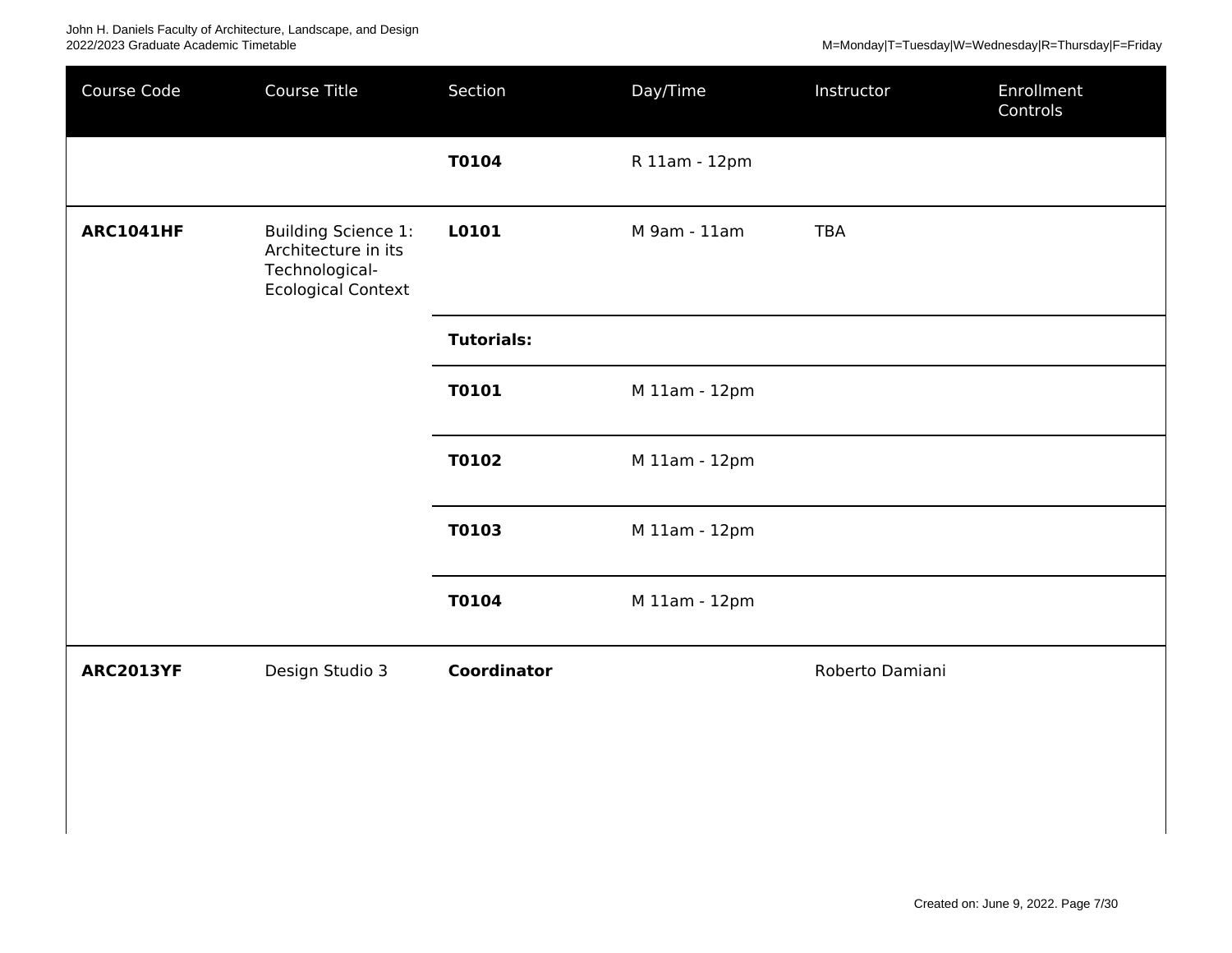| Course Code      | Course Title                                                                                     | Section            | Day/Time      | Instructor      | Enrollment<br>Controls |
|------------------|--------------------------------------------------------------------------------------------------|--------------------|---------------|-----------------|------------------------|
|                  |                                                                                                  | T0104              | R 11am - 12pm |                 |                        |
| <b>ARC1041HF</b> | <b>Building Science 1:</b><br>Architecture in its<br>Technological-<br><b>Ecological Context</b> | L0101              | M 9am - 11am  | <b>TBA</b>      |                        |
|                  |                                                                                                  | <b>Tutorials:</b>  |               |                 |                        |
|                  |                                                                                                  | <b>T0101</b>       | M 11am - 12pm |                 |                        |
|                  |                                                                                                  | T0102              | M 11am - 12pm |                 |                        |
|                  |                                                                                                  | T0103              | M 11am - 12pm |                 |                        |
|                  |                                                                                                  | T0104              | M 11am - 12pm |                 |                        |
| <b>ARC2013YF</b> | Design Studio 3                                                                                  | <b>Coordinator</b> |               | Roberto Damiani |                        |
|                  |                                                                                                  |                    |               |                 |                        |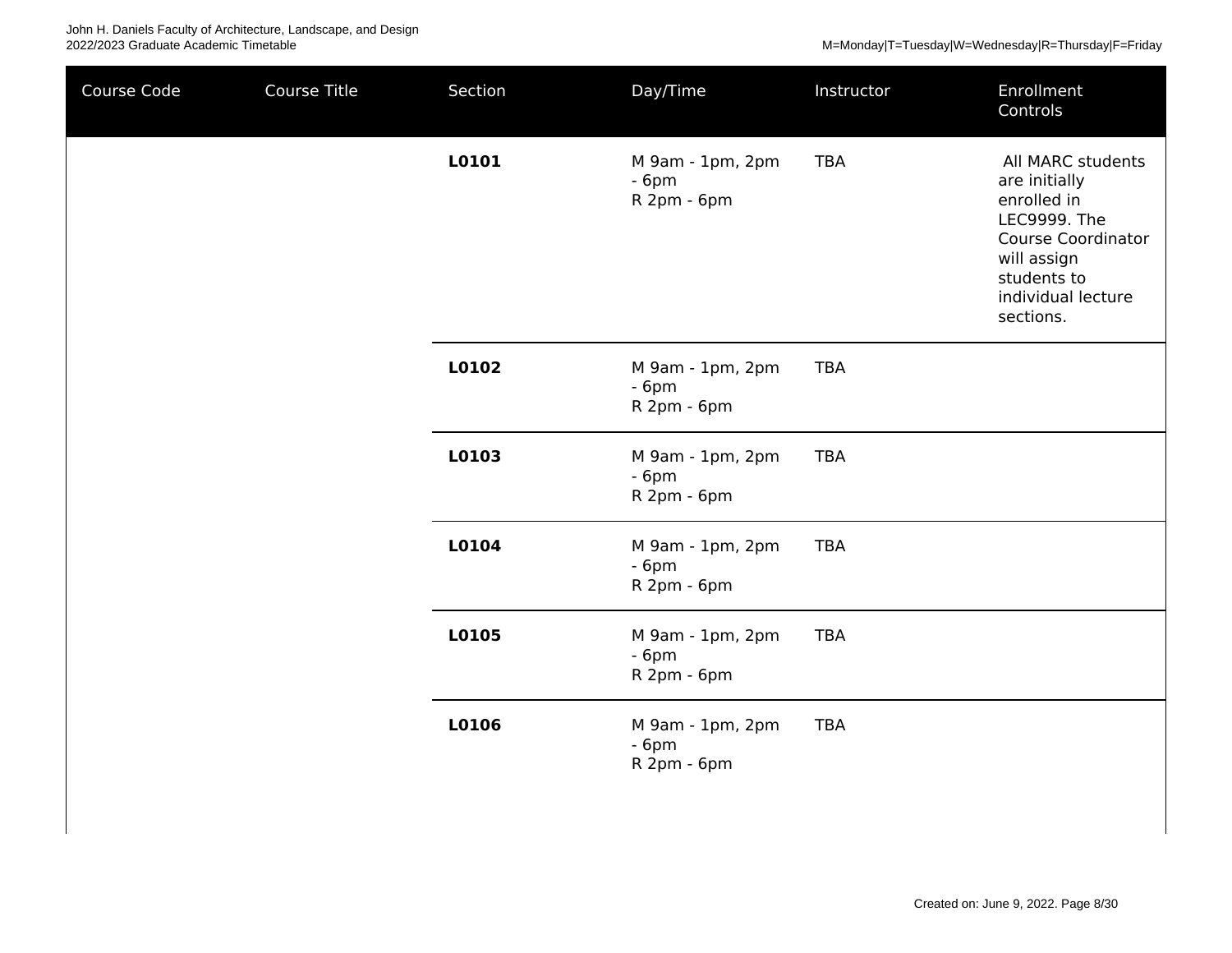| Course Code | Course Title | Section | Day/Time                                  | Instructor | Enrollment<br>Controls                                                                                                                                                 |
|-------------|--------------|---------|-------------------------------------------|------------|------------------------------------------------------------------------------------------------------------------------------------------------------------------------|
|             |              | L0101   | M 9am - 1pm, 2pm<br>$-6pm$<br>R 2pm - 6pm | <b>TBA</b> | All MARC students<br>are initially<br>enrolled in<br><b>LEC9999. The</b><br><b>Course Coordinator</b><br>will assign<br>students to<br>individual lecture<br>sections. |
|             |              | L0102   | M 9am - 1pm, 2pm<br>$-6pm$<br>R 2pm - 6pm | <b>TBA</b> |                                                                                                                                                                        |
|             |              | L0103   | M 9am - 1pm, 2pm<br>$-6pm$<br>R 2pm - 6pm | <b>TBA</b> |                                                                                                                                                                        |
|             |              | L0104   | M 9am - 1pm, 2pm<br>$-6pm$<br>R 2pm - 6pm | <b>TBA</b> |                                                                                                                                                                        |
|             |              | L0105   | M 9am - 1pm, 2pm<br>$-6pm$<br>R 2pm - 6pm | <b>TBA</b> |                                                                                                                                                                        |
|             |              | L0106   | M 9am - 1pm, 2pm<br>$-6pm$<br>R 2pm - 6pm | <b>TBA</b> |                                                                                                                                                                        |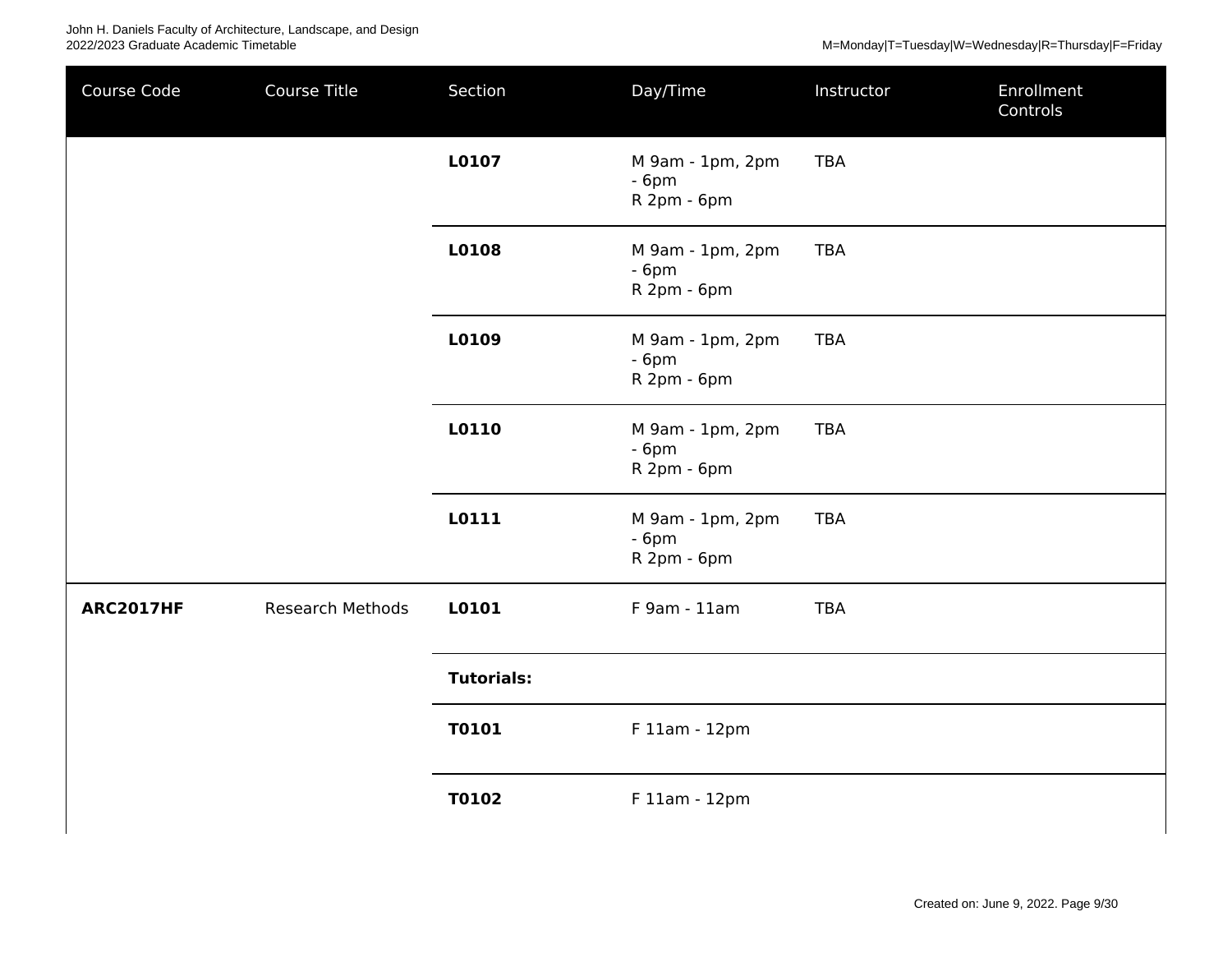| Course Code      | Course Title            | Section           | Day/Time                                  | Instructor | Enrollment<br>Controls |
|------------------|-------------------------|-------------------|-------------------------------------------|------------|------------------------|
|                  |                         | L0107             | M 9am - 1pm, 2pm<br>$-6pm$<br>R 2pm - 6pm | <b>TBA</b> |                        |
|                  |                         | L0108             | M 9am - 1pm, 2pm<br>$-6pm$<br>R 2pm - 6pm | <b>TBA</b> |                        |
|                  |                         | L0109             | M 9am - 1pm, 2pm<br>$-6pm$<br>R 2pm - 6pm | <b>TBA</b> |                        |
|                  |                         | L0110             | M 9am - 1pm, 2pm<br>$-6pm$<br>R 2pm - 6pm | <b>TBA</b> |                        |
|                  |                         | L0111             | M 9am - 1pm, 2pm<br>$-6pm$<br>R 2pm - 6pm | <b>TBA</b> |                        |
| <b>ARC2017HF</b> | <b>Research Methods</b> | L0101             | F 9am - 11am                              | <b>TBA</b> |                        |
|                  |                         | <b>Tutorials:</b> |                                           |            |                        |
|                  |                         | T0101             | F 11am - 12pm                             |            |                        |
|                  |                         | <b>T0102</b>      | F 11am - 12pm                             |            |                        |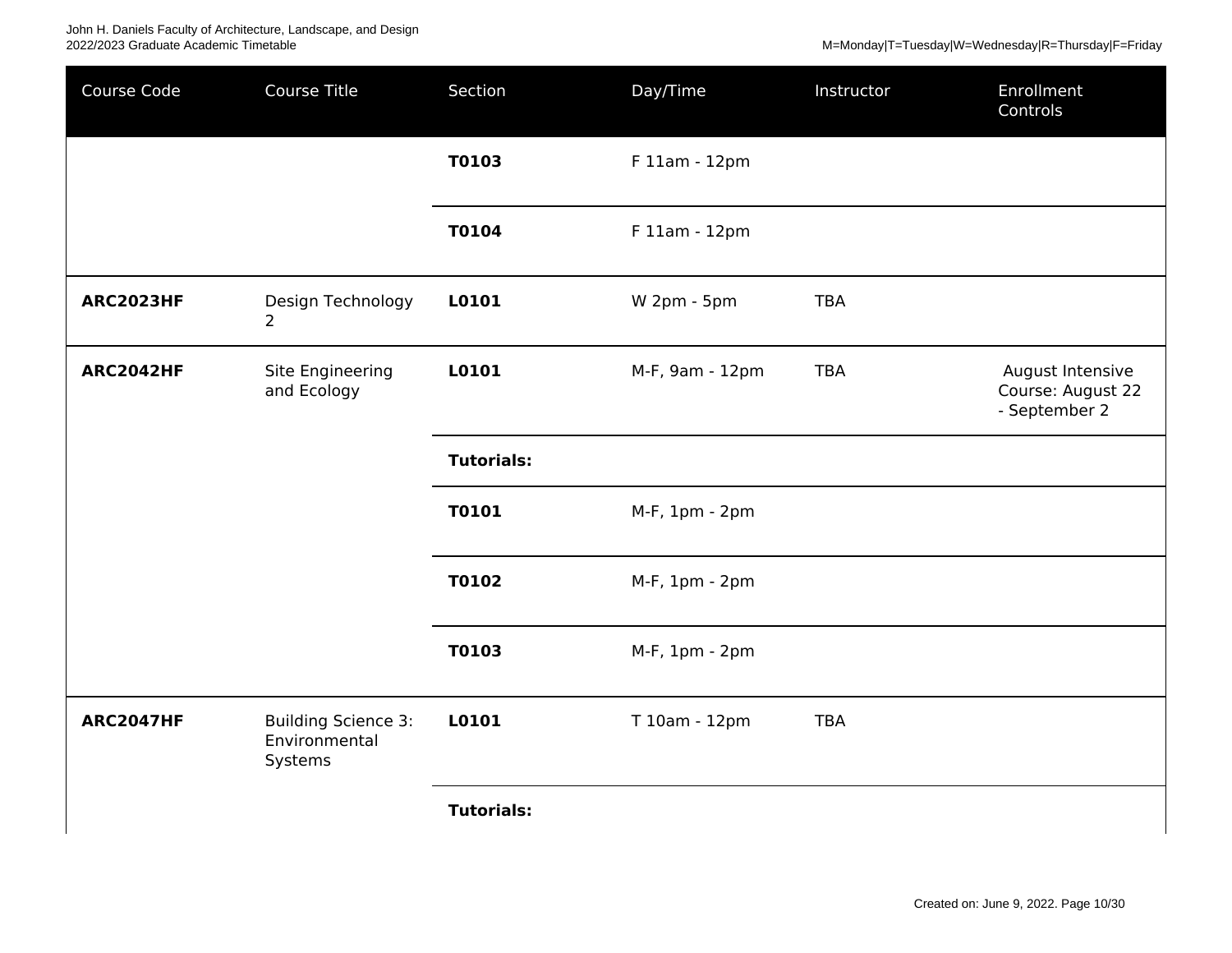M=Monday|T=Tuesday|W=Wednesday|R=Thursday|F=Friday

| Course Code      | Course Title                                           | Section           | Day/Time        | Instructor | Enrollment<br>Controls                                 |
|------------------|--------------------------------------------------------|-------------------|-----------------|------------|--------------------------------------------------------|
|                  |                                                        | T0103             | F 11am - 12pm   |            |                                                        |
|                  |                                                        | <b>T0104</b>      | F 11am - 12pm   |            |                                                        |
| <b>ARC2023HF</b> | Design Technology<br>$\overline{2}$                    | L0101             | W 2pm - 5pm     | <b>TBA</b> |                                                        |
| <b>ARC2042HF</b> | Site Engineering<br>and Ecology                        | L0101             | M-F, 9am - 12pm | <b>TBA</b> | August Intensive<br>Course: August 22<br>- September 2 |
|                  |                                                        | <b>Tutorials:</b> |                 |            |                                                        |
|                  |                                                        | <b>T0101</b>      | M-F, 1pm - 2pm  |            |                                                        |
|                  |                                                        | <b>T0102</b>      | M-F, 1pm - 2pm  |            |                                                        |
|                  |                                                        | <b>T0103</b>      | M-F, 1pm - 2pm  |            |                                                        |
| <b>ARC2047HF</b> | <b>Building Science 3:</b><br>Environmental<br>Systems | L0101             | T 10am - 12pm   | <b>TBA</b> |                                                        |
|                  |                                                        | <b>Tutorials:</b> |                 |            |                                                        |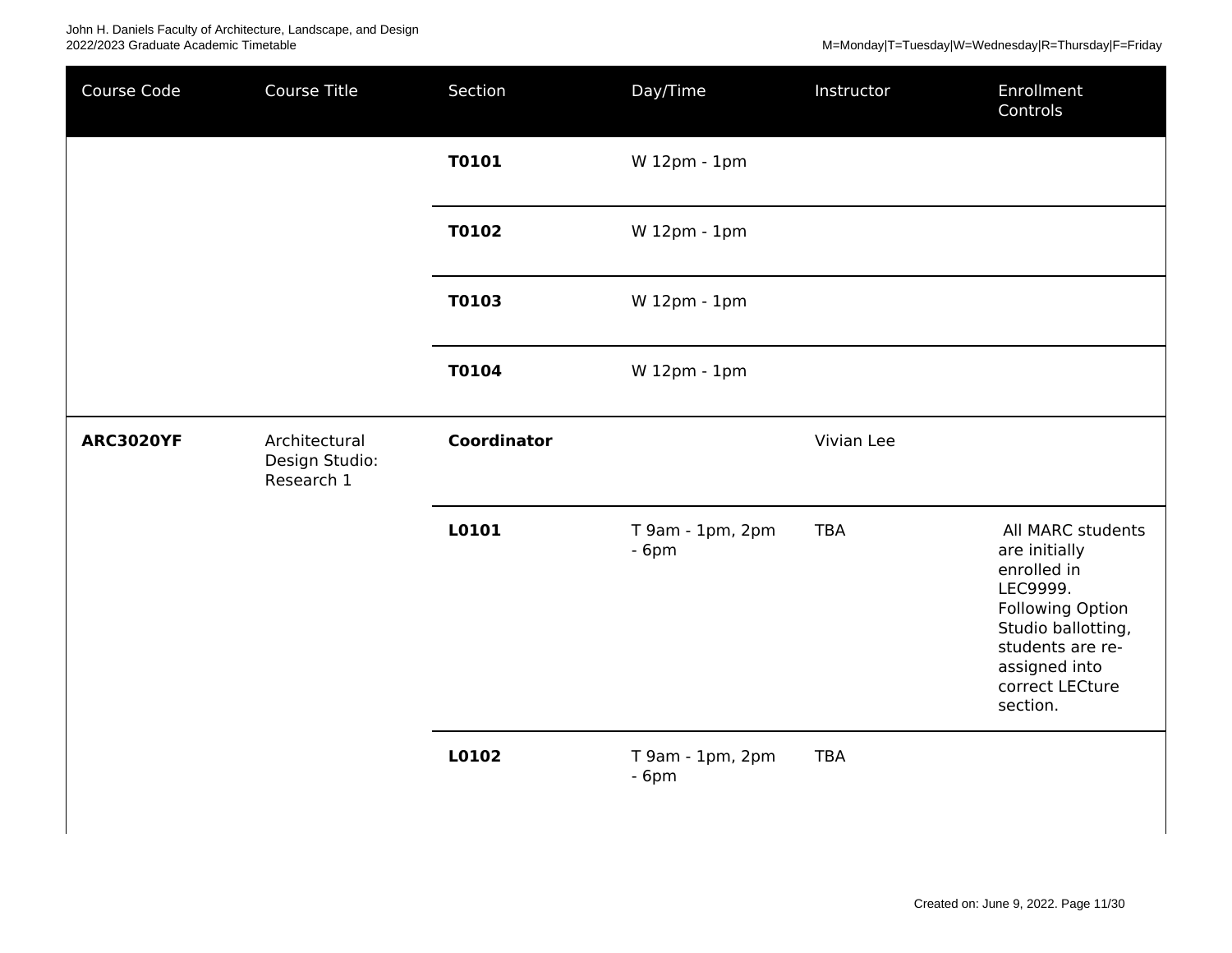| Course Code      | Course Title                    | Section            | Day/Time                   | Instructor | Enrollment<br>Controls                                                                                                                                                             |
|------------------|---------------------------------|--------------------|----------------------------|------------|------------------------------------------------------------------------------------------------------------------------------------------------------------------------------------|
|                  |                                 | <b>T0101</b>       | W 12pm - 1pm               |            |                                                                                                                                                                                    |
|                  |                                 | T0102              | W 12pm - 1pm               |            |                                                                                                                                                                                    |
|                  |                                 | T0103              | W 12pm - 1pm               |            |                                                                                                                                                                                    |
|                  |                                 | <b>T0104</b>       | W 12pm - 1pm               |            |                                                                                                                                                                                    |
| <b>ARC3020YF</b> | Architectural<br>Design Studio: | <b>Coordinator</b> |                            | Vivian Lee |                                                                                                                                                                                    |
|                  | Research 1                      |                    |                            |            |                                                                                                                                                                                    |
|                  |                                 | L0101              | T 9am - 1pm, 2pm<br>$-6pm$ | <b>TBA</b> | All MARC students<br>are initially<br>enrolled in<br>LEC9999.<br><b>Following Option</b><br>Studio ballotting,<br>students are re-<br>assigned into<br>correct LECture<br>section. |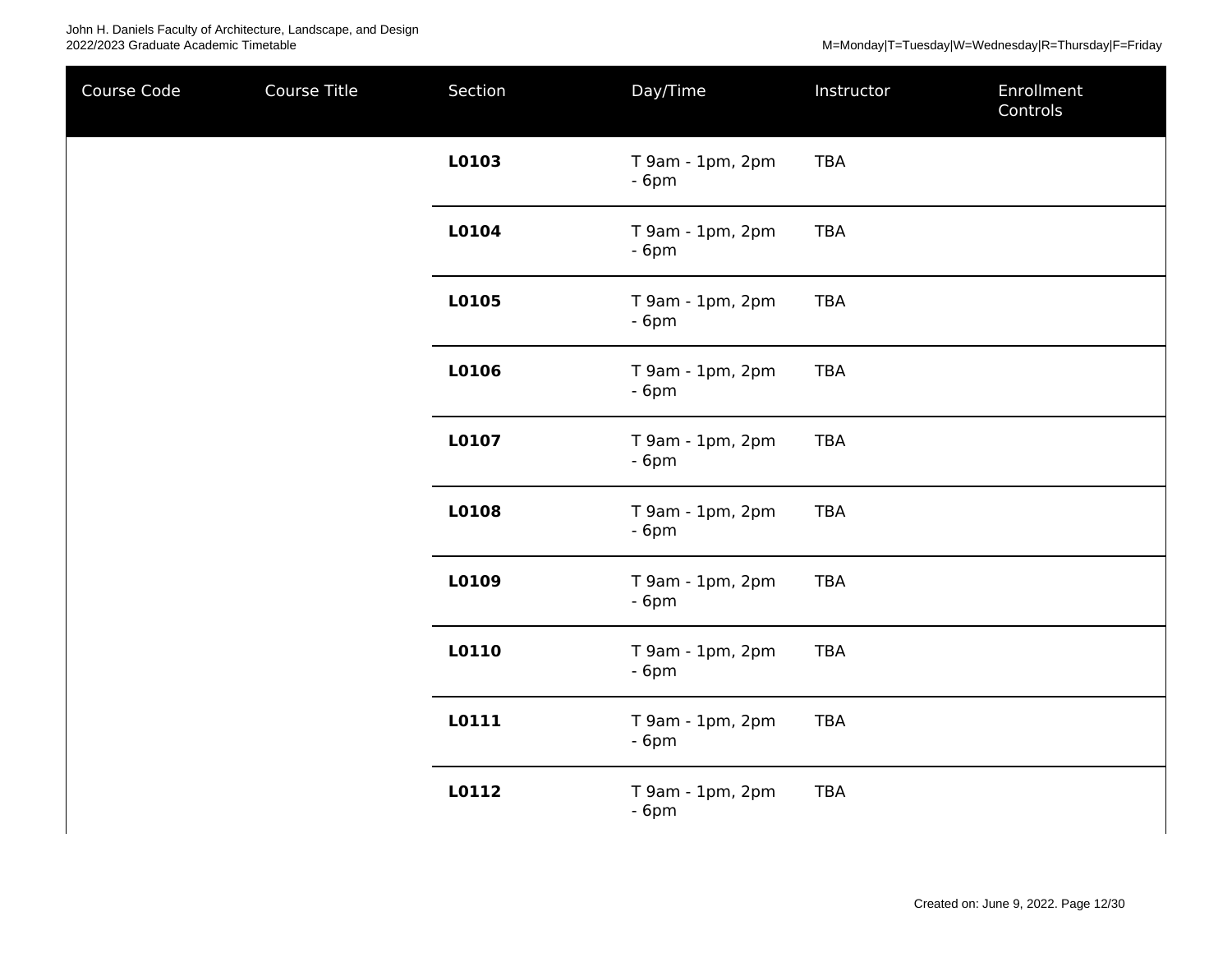| Course Code | Course Title | Section | Day/Time                   | Instructor | Enrollment<br>Controls |
|-------------|--------------|---------|----------------------------|------------|------------------------|
|             |              | L0103   | T 9am - 1pm, 2pm<br>$-6pm$ | <b>TBA</b> |                        |
|             |              | L0104   | T 9am - 1pm, 2pm<br>$-6pm$ | <b>TBA</b> |                        |
|             |              | L0105   | T 9am - 1pm, 2pm<br>$-6pm$ | <b>TBA</b> |                        |
|             |              | L0106   | T 9am - 1pm, 2pm<br>$-6pm$ | <b>TBA</b> |                        |
|             |              | L0107   | T 9am - 1pm, 2pm<br>$-6pm$ | <b>TBA</b> |                        |
|             |              | L0108   | T 9am - 1pm, 2pm<br>$-6pm$ | <b>TBA</b> |                        |
|             |              | L0109   | T 9am - 1pm, 2pm<br>$-6pm$ | <b>TBA</b> |                        |
|             |              | L0110   | T 9am - 1pm, 2pm<br>$-6pm$ | <b>TBA</b> |                        |
|             |              | L0111   | T 9am - 1pm, 2pm<br>$-6pm$ | TBA        |                        |
|             |              | L0112   | T 9am - 1pm, 2pm<br>$-6pm$ | <b>TBA</b> |                        |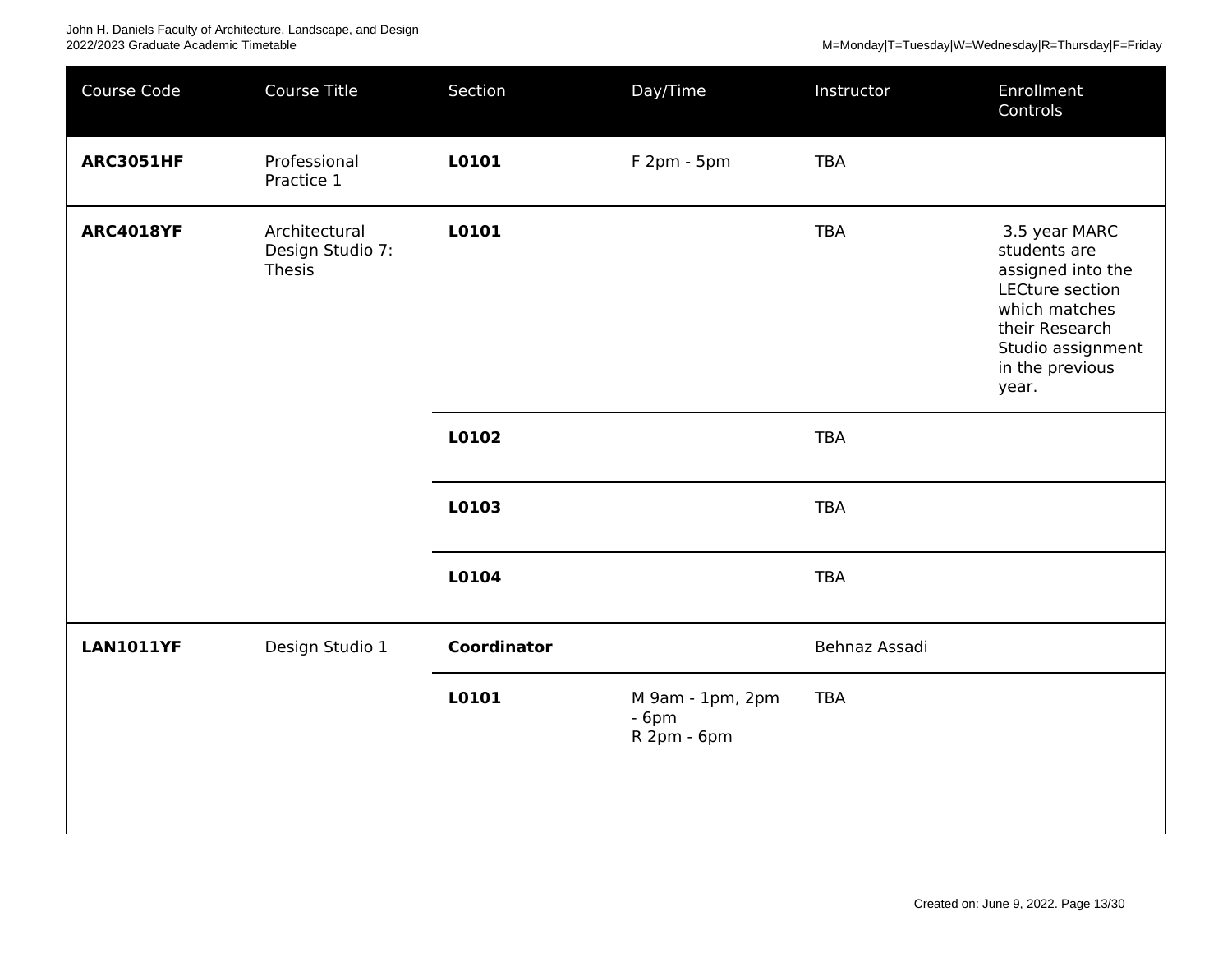| Course Code      | Course Title                                | Section            | Day/Time                                  | Instructor    | Enrollment<br>Controls                                                                                                                                    |
|------------------|---------------------------------------------|--------------------|-------------------------------------------|---------------|-----------------------------------------------------------------------------------------------------------------------------------------------------------|
| <b>ARC3051HF</b> | Professional<br>Practice 1                  | L0101              | F 2pm - 5pm                               | <b>TBA</b>    |                                                                                                                                                           |
| <b>ARC4018YF</b> | Architectural<br>Design Studio 7:<br>Thesis | L0101              |                                           | <b>TBA</b>    | 3.5 year MARC<br>students are<br>assigned into the<br>LECture section<br>which matches<br>their Research<br>Studio assignment<br>in the previous<br>year. |
|                  |                                             | L0102              |                                           | <b>TBA</b>    |                                                                                                                                                           |
|                  |                                             | L0103              |                                           | <b>TBA</b>    |                                                                                                                                                           |
|                  |                                             | L0104              |                                           | <b>TBA</b>    |                                                                                                                                                           |
| <b>LAN1011YF</b> | Design Studio 1                             | <b>Coordinator</b> |                                           | Behnaz Assadi |                                                                                                                                                           |
|                  |                                             | L0101              | M 9am - 1pm, 2pm<br>$-6pm$<br>R 2pm - 6pm | <b>TBA</b>    |                                                                                                                                                           |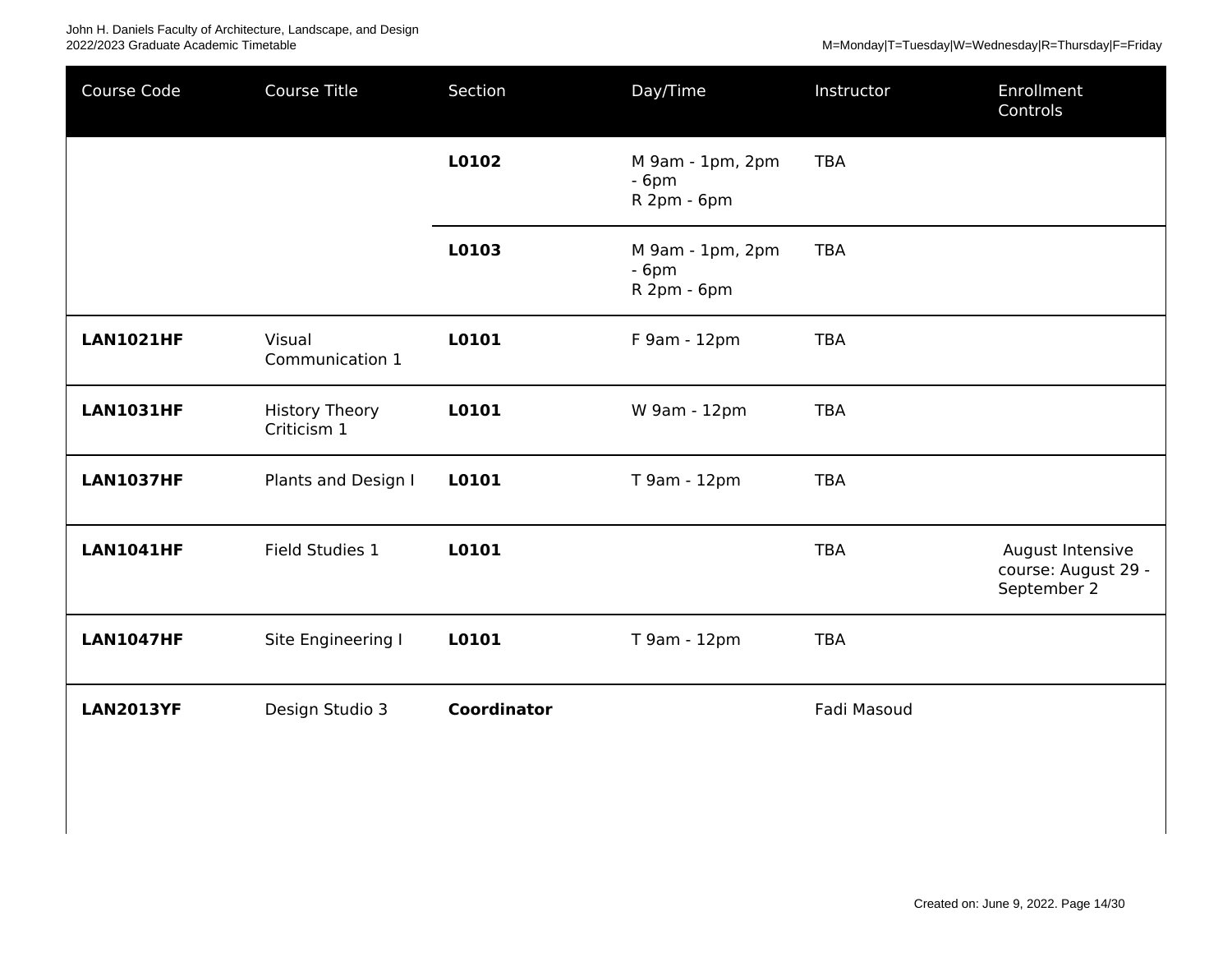| Course Code      | Course Title                         | Section            | Day/Time                                  | Instructor  | Enrollment<br>Controls                                 |
|------------------|--------------------------------------|--------------------|-------------------------------------------|-------------|--------------------------------------------------------|
|                  |                                      | L0102              | M 9am - 1pm, 2pm<br>$-6pm$<br>R 2pm - 6pm | <b>TBA</b>  |                                                        |
|                  |                                      | L0103              | M 9am - 1pm, 2pm<br>$-6pm$<br>R 2pm - 6pm | <b>TBA</b>  |                                                        |
| <b>LAN1021HF</b> | Visual<br>Communication 1            | L0101              | F 9am - 12pm                              | <b>TBA</b>  |                                                        |
| <b>LAN1031HF</b> | <b>History Theory</b><br>Criticism 1 | L0101              | W 9am - 12pm                              | <b>TBA</b>  |                                                        |
| <b>LAN1037HF</b> | Plants and Design I                  | L0101              | T 9am - 12pm                              | <b>TBA</b>  |                                                        |
| <b>LAN1041HF</b> | Field Studies 1                      | L0101              |                                           | <b>TBA</b>  | August Intensive<br>course: August 29 -<br>September 2 |
| <b>LAN1047HF</b> | Site Engineering I                   | L0101              | T 9am - 12pm                              | <b>TBA</b>  |                                                        |
| <b>LAN2013YF</b> | Design Studio 3                      | <b>Coordinator</b> |                                           | Fadi Masoud |                                                        |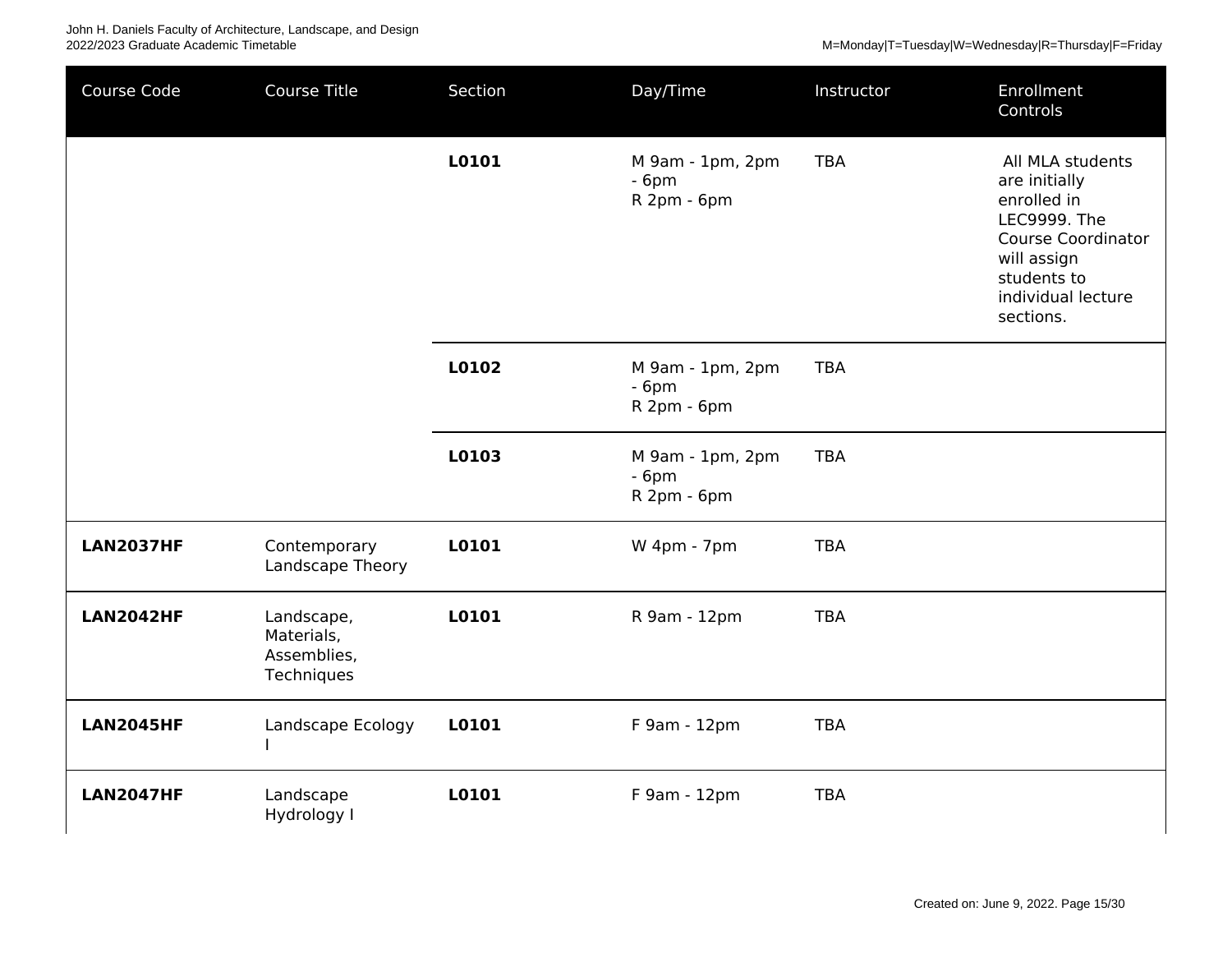| Course Code      | <b>Course Title</b>                                   | Section | Day/Time                                  | Instructor | Enrollment<br>Controls                                                                                                                                         |
|------------------|-------------------------------------------------------|---------|-------------------------------------------|------------|----------------------------------------------------------------------------------------------------------------------------------------------------------------|
|                  |                                                       | L0101   | M 9am - 1pm, 2pm<br>$-6pm$<br>R 2pm - 6pm | <b>TBA</b> | All MLA students<br>are initially<br>enrolled in<br>LEC9999. The<br><b>Course Coordinator</b><br>will assign<br>students to<br>individual lecture<br>sections. |
|                  |                                                       | L0102   | M 9am - 1pm, 2pm<br>$-6pm$<br>R 2pm - 6pm | <b>TBA</b> |                                                                                                                                                                |
|                  |                                                       | L0103   | M 9am - 1pm, 2pm<br>$-6pm$<br>R 2pm - 6pm | <b>TBA</b> |                                                                                                                                                                |
| <b>LAN2037HF</b> | Contemporary<br>Landscape Theory                      | L0101   | W 4pm - 7pm                               | <b>TBA</b> |                                                                                                                                                                |
| <b>LAN2042HF</b> | Landscape,<br>Materials,<br>Assemblies,<br>Techniques | L0101   | R 9am - 12pm                              | <b>TBA</b> |                                                                                                                                                                |
| <b>LAN2045HF</b> | Landscape Ecology                                     | L0101   | F 9am - 12pm                              | <b>TBA</b> |                                                                                                                                                                |
| <b>LAN2047HF</b> | Landscape<br>Hydrology I                              | L0101   | F 9am - 12pm                              | <b>TBA</b> |                                                                                                                                                                |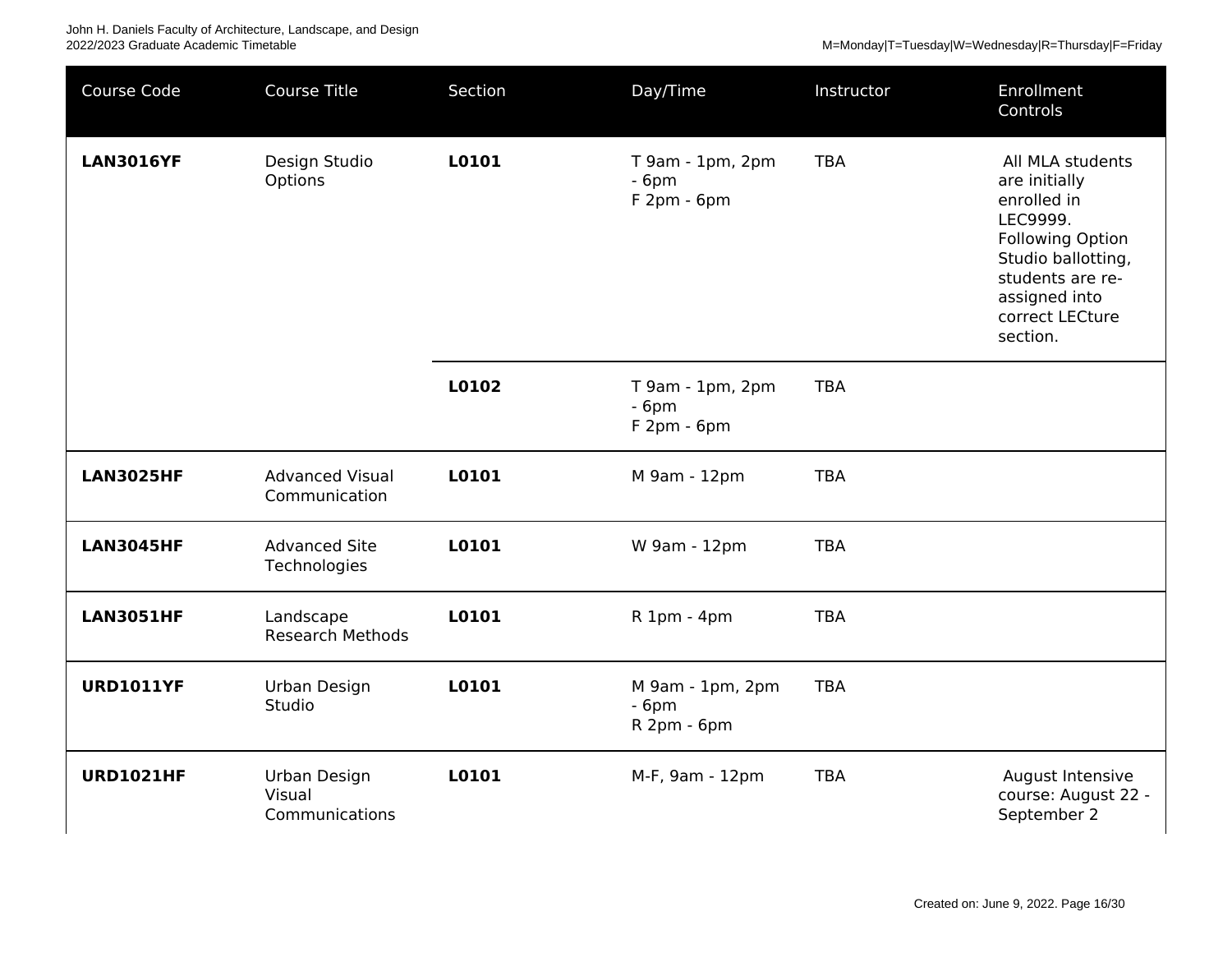M=Monday|T=Tuesday|W=Wednesday|R=Thursday|F=Friday

| Course Code      | <b>Course Title</b>                      | Section | Day/Time                                   | Instructor | Enrollment<br>Controls                                                                                                                                                            |
|------------------|------------------------------------------|---------|--------------------------------------------|------------|-----------------------------------------------------------------------------------------------------------------------------------------------------------------------------------|
| <b>LAN3016YF</b> | Design Studio<br>Options                 | L0101   | T 9am - 1pm, 2pm<br>$-6pm$<br>$F2pm - 6pm$ | <b>TBA</b> | All MLA students<br>are initially<br>enrolled in<br>LEC9999.<br><b>Following Option</b><br>Studio ballotting,<br>students are re-<br>assigned into<br>correct LECture<br>section. |
|                  |                                          | L0102   | T 9am - 1pm, 2pm<br>$-6pm$<br>F 2pm - 6pm  | <b>TBA</b> |                                                                                                                                                                                   |
| <b>LAN3025HF</b> | <b>Advanced Visual</b><br>Communication  | L0101   | M 9am - 12pm                               | <b>TBA</b> |                                                                                                                                                                                   |
| <b>LAN3045HF</b> | <b>Advanced Site</b><br>Technologies     | L0101   | W 9am - 12pm                               | <b>TBA</b> |                                                                                                                                                                                   |
| <b>LAN3051HF</b> | Landscape<br><b>Research Methods</b>     | L0101   | R 1pm - 4pm                                | <b>TBA</b> |                                                                                                                                                                                   |
| <b>URD1011YF</b> | Urban Design<br>Studio                   | L0101   | M 9am - 1pm, 2pm<br>$-6pm$<br>R 2pm - 6pm  | <b>TBA</b> |                                                                                                                                                                                   |
| <b>URD1021HF</b> | Urban Design<br>Visual<br>Communications | L0101   | M-F, 9am - 12pm                            | <b>TBA</b> | August Intensive<br>course: August 22 -<br>September 2                                                                                                                            |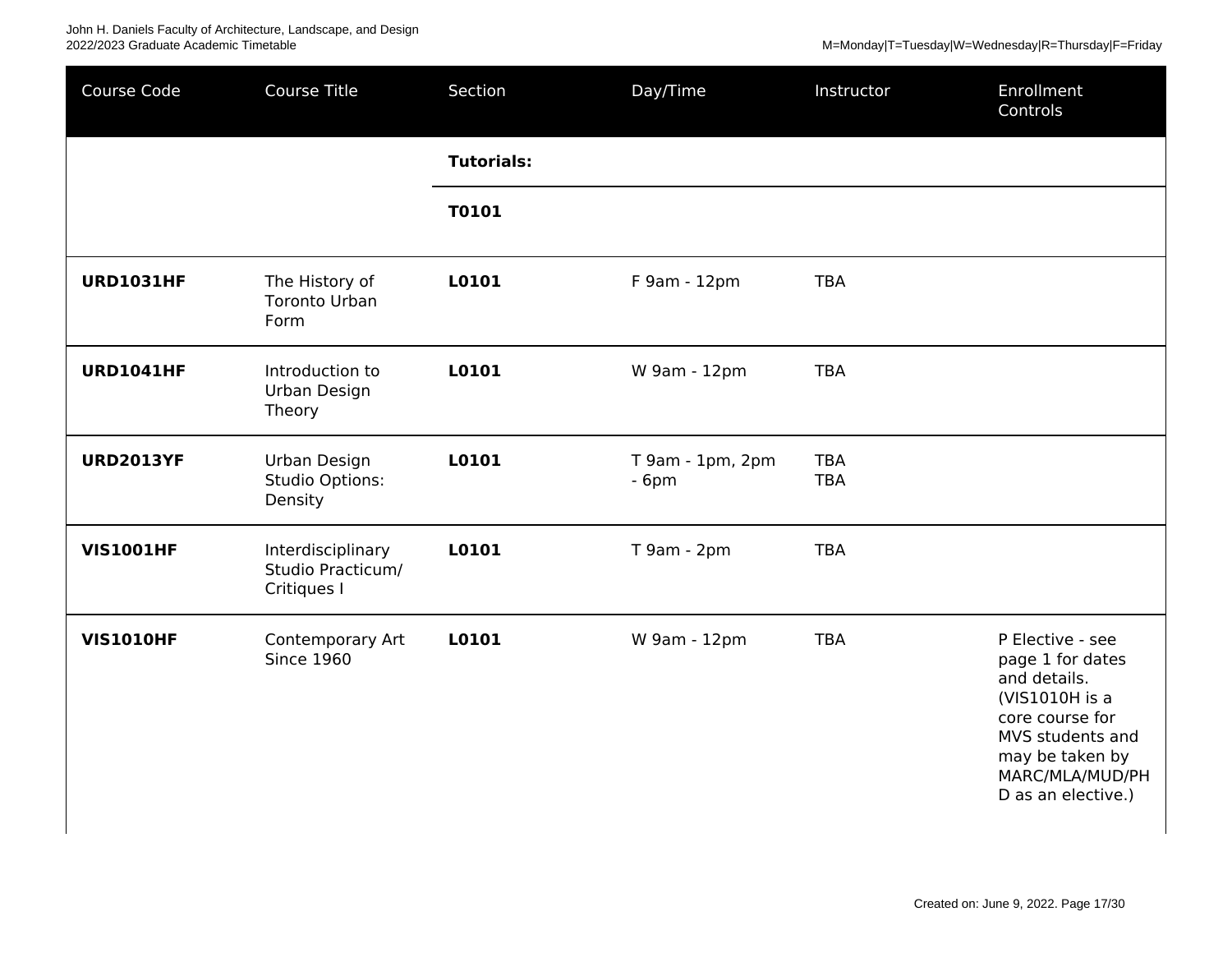| Course Code      | Course Title                                          | Section           | Day/Time                   | Instructor               | Enrollment<br>Controls                                                                                                                                                    |
|------------------|-------------------------------------------------------|-------------------|----------------------------|--------------------------|---------------------------------------------------------------------------------------------------------------------------------------------------------------------------|
|                  |                                                       | <b>Tutorials:</b> |                            |                          |                                                                                                                                                                           |
|                  |                                                       | T0101             |                            |                          |                                                                                                                                                                           |
| <b>URD1031HF</b> | The History of<br><b>Toronto Urban</b><br>Form        | L0101             | F 9am - 12pm               | <b>TBA</b>               |                                                                                                                                                                           |
| <b>URD1041HF</b> | Introduction to<br>Urban Design<br>Theory             | L0101             | W 9am - 12pm               | <b>TBA</b>               |                                                                                                                                                                           |
| <b>URD2013YF</b> | Urban Design<br>Studio Options:<br>Density            | L0101             | T 9am - 1pm, 2pm<br>$-6pm$ | <b>TBA</b><br><b>TBA</b> |                                                                                                                                                                           |
| <b>VIS1001HF</b> | Interdisciplinary<br>Studio Practicum/<br>Critiques I | L0101             | T 9am - 2pm                | <b>TBA</b>               |                                                                                                                                                                           |
| <b>VIS1010HF</b> | Contemporary Art<br><b>Since 1960</b>                 | L0101             | W 9am - 12pm               | <b>TBA</b>               | P Elective - see<br>page 1 for dates<br>and details.<br>(VIS1010H is a<br>core course for<br>MVS students and<br>may be taken by<br>MARC/MLA/MUD/PH<br>D as an elective.) |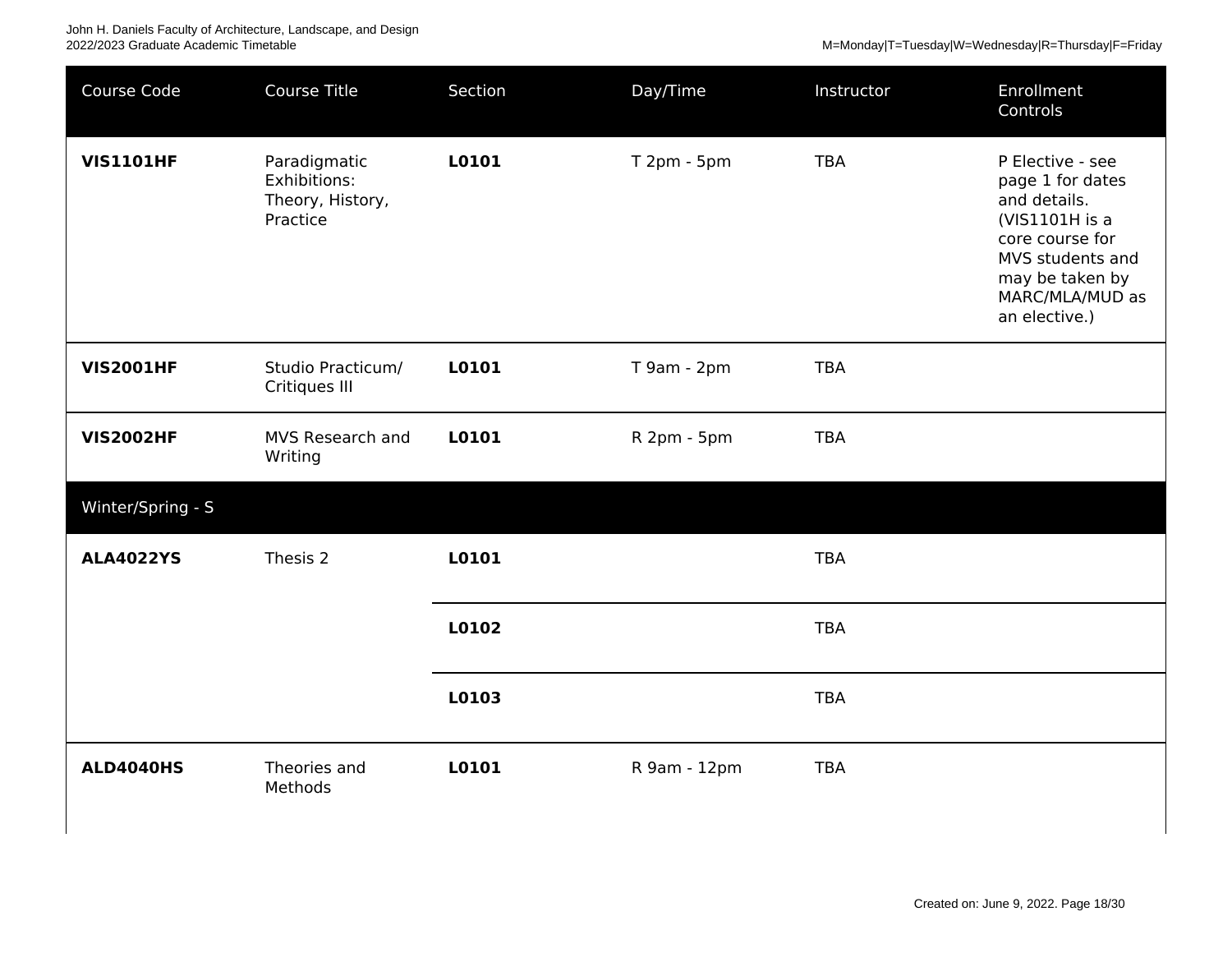| Course Code       | Course Title                                                 | Section | Day/Time     | Instructor | Enrollment<br>Controls                                                                                                                                               |
|-------------------|--------------------------------------------------------------|---------|--------------|------------|----------------------------------------------------------------------------------------------------------------------------------------------------------------------|
| <b>VIS1101HF</b>  | Paradigmatic<br>Exhibitions:<br>Theory, History,<br>Practice | L0101   | T 2pm - 5pm  | <b>TBA</b> | P Elective - see<br>page 1 for dates<br>and details.<br>(VIS1101H is a<br>core course for<br>MVS students and<br>may be taken by<br>MARC/MLA/MUD as<br>an elective.) |
| <b>VIS2001HF</b>  | Studio Practicum/<br>Critiques III                           | L0101   | T 9am - 2pm  | <b>TBA</b> |                                                                                                                                                                      |
| <b>VIS2002HF</b>  | MVS Research and<br>Writing                                  | L0101   | R 2pm - 5pm  | <b>TBA</b> |                                                                                                                                                                      |
| Winter/Spring - S |                                                              |         |              |            |                                                                                                                                                                      |
| <b>ALA4022YS</b>  | Thesis 2                                                     | L0101   |              | <b>TBA</b> |                                                                                                                                                                      |
|                   |                                                              | L0102   |              | <b>TBA</b> |                                                                                                                                                                      |
|                   |                                                              | L0103   |              | <b>TBA</b> |                                                                                                                                                                      |
| <b>ALD4040HS</b>  | Theories and<br>Methods                                      | L0101   | R 9am - 12pm | <b>TBA</b> |                                                                                                                                                                      |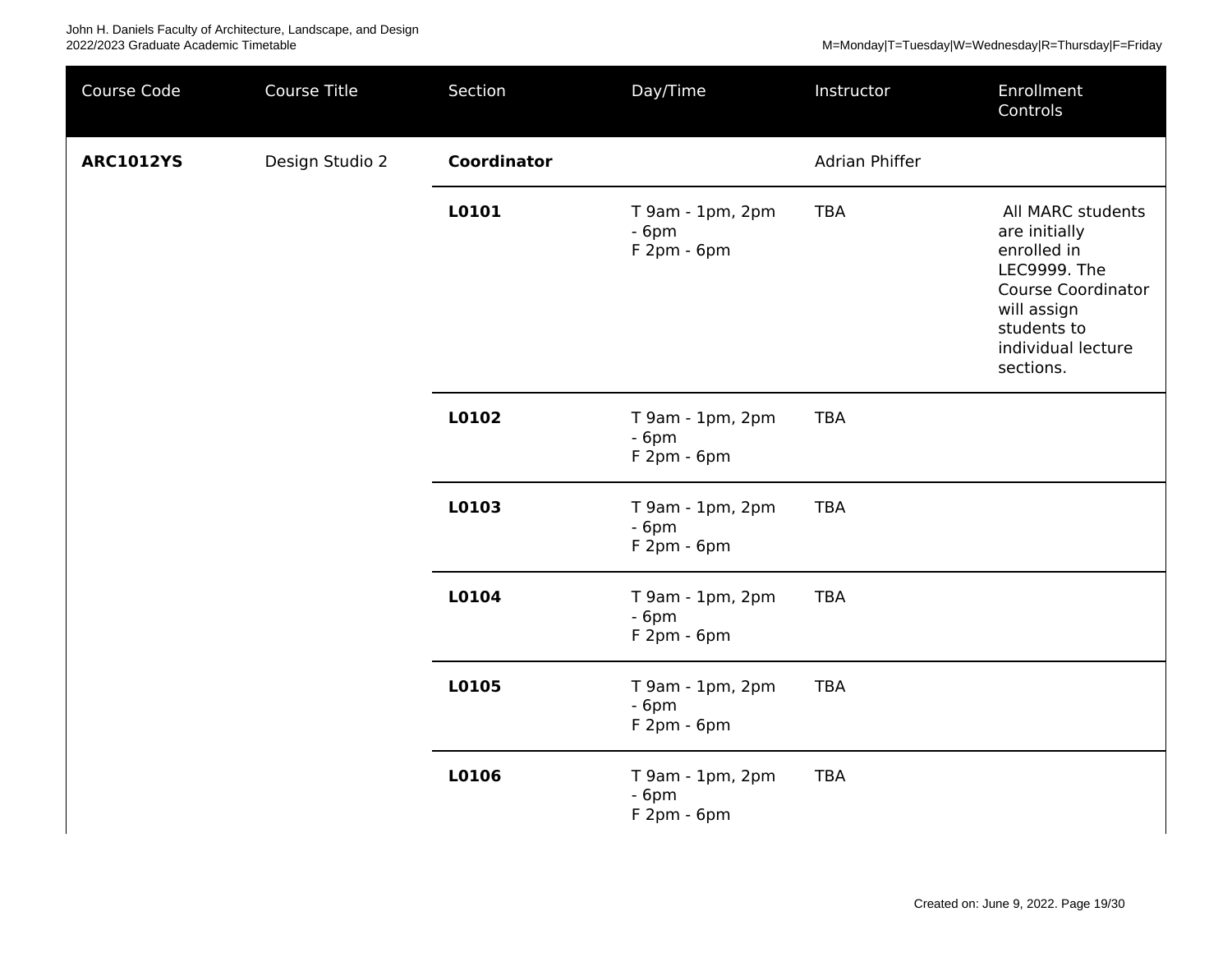| Course Code      | Course Title    | Section     | Day/Time                                   | Instructor     | Enrollment<br>Controls                                                                                                                                                 |
|------------------|-----------------|-------------|--------------------------------------------|----------------|------------------------------------------------------------------------------------------------------------------------------------------------------------------------|
| <b>ARC1012YS</b> | Design Studio 2 | Coordinator |                                            | Adrian Phiffer |                                                                                                                                                                        |
|                  |                 | L0101       | T 9am - 1pm, 2pm<br>$-6pm$<br>$F2pm - 6pm$ | <b>TBA</b>     | All MARC students<br>are initially<br>enrolled in<br><b>LEC9999. The</b><br><b>Course Coordinator</b><br>will assign<br>students to<br>individual lecture<br>sections. |
|                  |                 | L0102       | T 9am - 1pm, 2pm<br>$-6pm$<br>$F2pm - 6pm$ | <b>TBA</b>     |                                                                                                                                                                        |
|                  |                 | L0103       | T 9am - 1pm, 2pm<br>$-6pm$<br>$F2pm - 6pm$ | <b>TBA</b>     |                                                                                                                                                                        |
|                  |                 | L0104       | T 9am - 1pm, 2pm<br>$-6pm$<br>$F2pm - 6pm$ | <b>TBA</b>     |                                                                                                                                                                        |
|                  |                 | L0105       | T 9am - 1pm, 2pm<br>$-6pm$<br>$F2pm - 6pm$ | <b>TBA</b>     |                                                                                                                                                                        |
|                  |                 | L0106       | T 9am - 1pm, 2pm<br>$-6pm$<br>F 2pm - 6pm  | <b>TBA</b>     |                                                                                                                                                                        |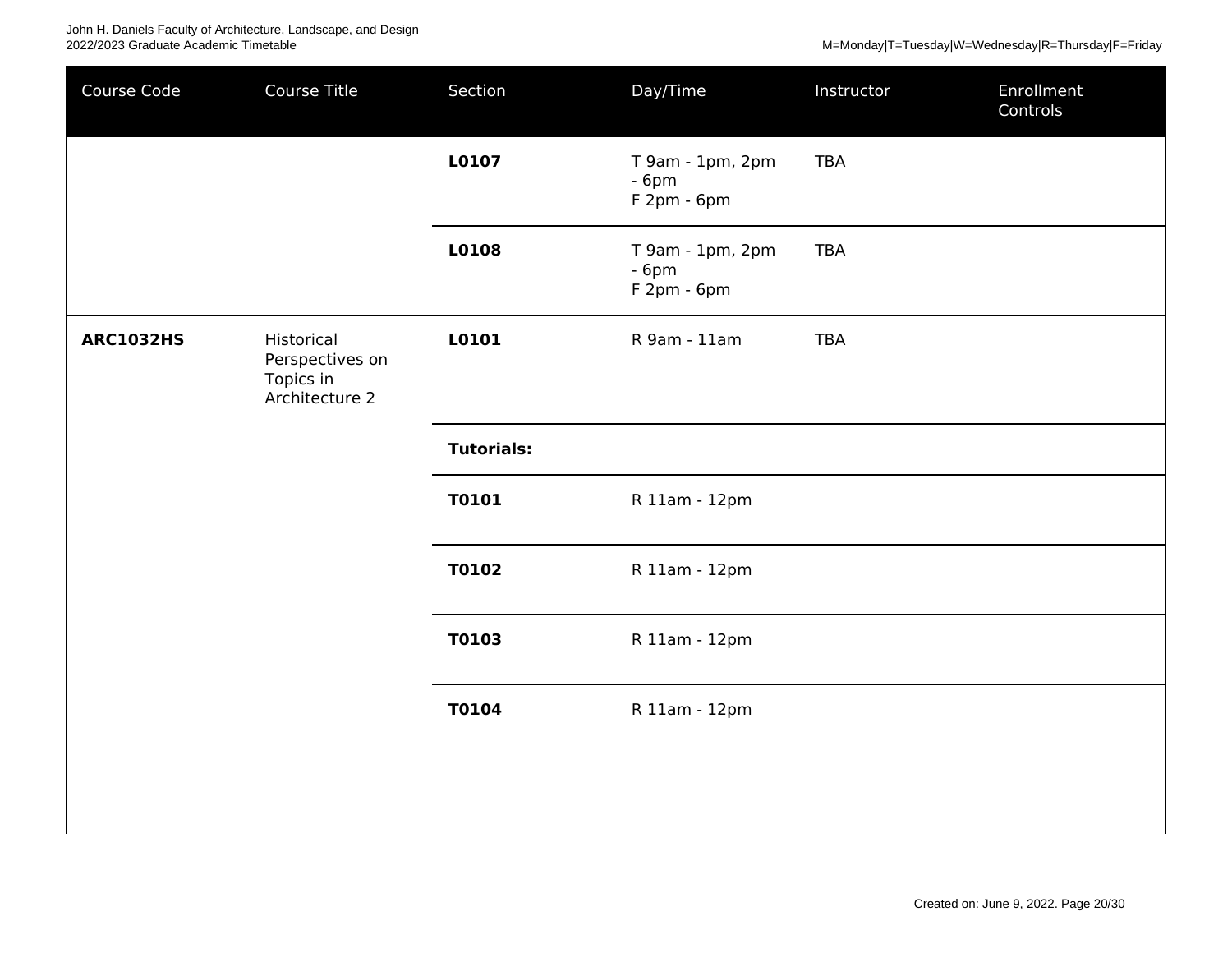| Course Code      | Course Title                                                 | Section           | Day/Time                                  | Instructor | Enrollment<br>Controls |
|------------------|--------------------------------------------------------------|-------------------|-------------------------------------------|------------|------------------------|
|                  |                                                              | L0107             | T 9am - 1pm, 2pm<br>$-6pm$<br>F 2pm - 6pm | <b>TBA</b> |                        |
|                  |                                                              | L0108             | T 9am - 1pm, 2pm<br>$-6pm$<br>F 2pm - 6pm | <b>TBA</b> |                        |
| <b>ARC1032HS</b> | Historical<br>Perspectives on<br>Topics in<br>Architecture 2 | L0101             | R 9am - 11am                              | <b>TBA</b> |                        |
|                  |                                                              | <b>Tutorials:</b> |                                           |            |                        |
|                  |                                                              | <b>T0101</b>      | R 11am - 12pm                             |            |                        |
|                  |                                                              | T0102             | R 11am - 12pm                             |            |                        |
|                  |                                                              | T0103             | R 11am - 12pm                             |            |                        |
|                  |                                                              | <b>T0104</b>      | R 11am - 12pm                             |            |                        |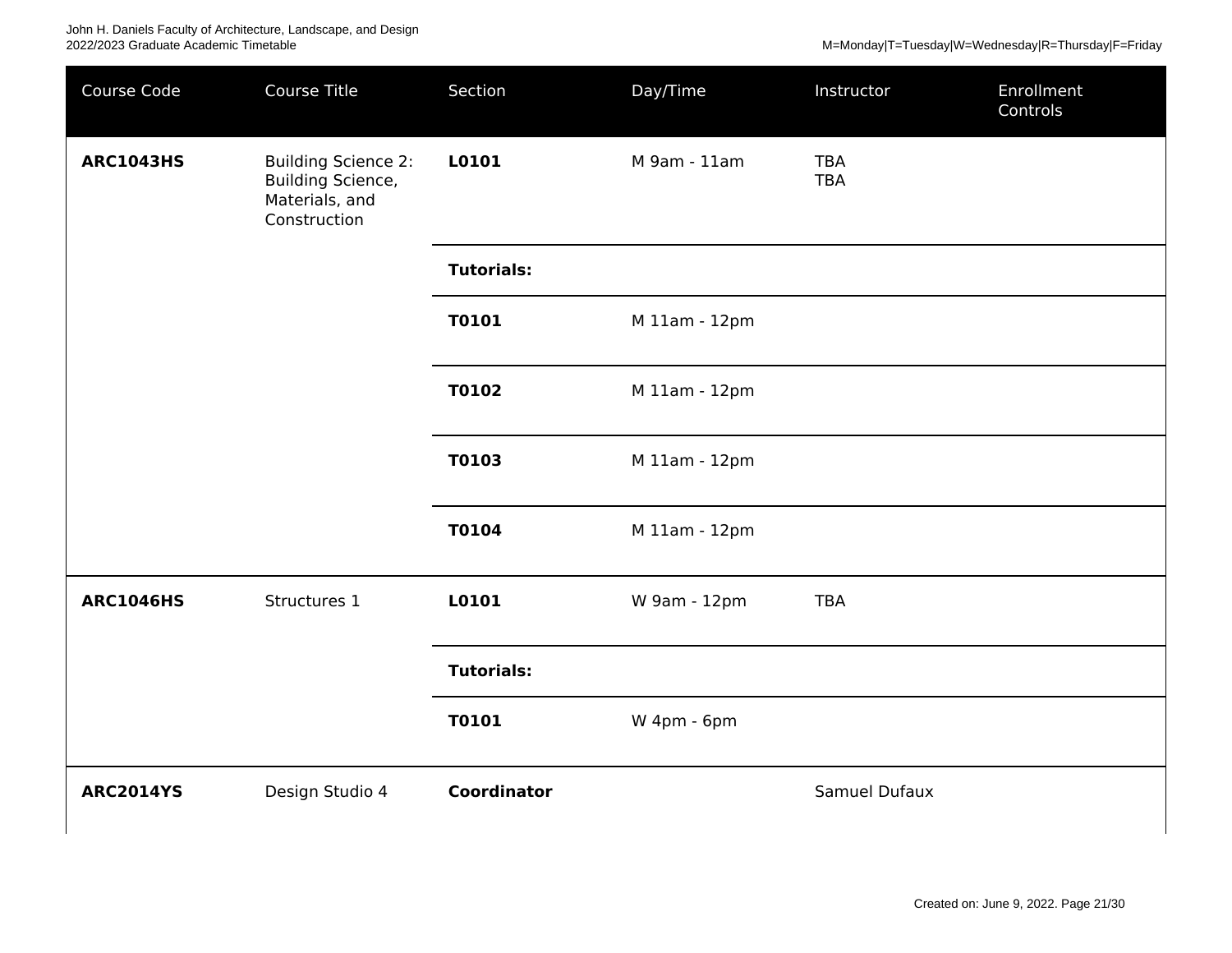M=Monday|T=Tuesday|W=Wednesday|R=Thursday|F=Friday

| Course Code      | Course Title                                                                      | Section            | Day/Time      | Instructor               | Enrollment<br>Controls |
|------------------|-----------------------------------------------------------------------------------|--------------------|---------------|--------------------------|------------------------|
| <b>ARC1043HS</b> | <b>Building Science 2:</b><br>Building Science,<br>Materials, and<br>Construction | L0101              | M 9am - 11am  | <b>TBA</b><br><b>TBA</b> |                        |
|                  |                                                                                   | <b>Tutorials:</b>  |               |                          |                        |
|                  |                                                                                   | <b>T0101</b>       | M 11am - 12pm |                          |                        |
|                  |                                                                                   | T0102              | M 11am - 12pm |                          |                        |
|                  |                                                                                   | T0103              | M 11am - 12pm |                          |                        |
|                  |                                                                                   | T0104              | M 11am - 12pm |                          |                        |
| <b>ARC1046HS</b> | Structures 1                                                                      | L0101              | W 9am - 12pm  | <b>TBA</b>               |                        |
|                  |                                                                                   | <b>Tutorials:</b>  |               |                          |                        |
|                  |                                                                                   | <b>T0101</b>       | W 4pm - 6pm   |                          |                        |
| <b>ARC2014YS</b> | Design Studio 4                                                                   | <b>Coordinator</b> |               | Samuel Dufaux            |                        |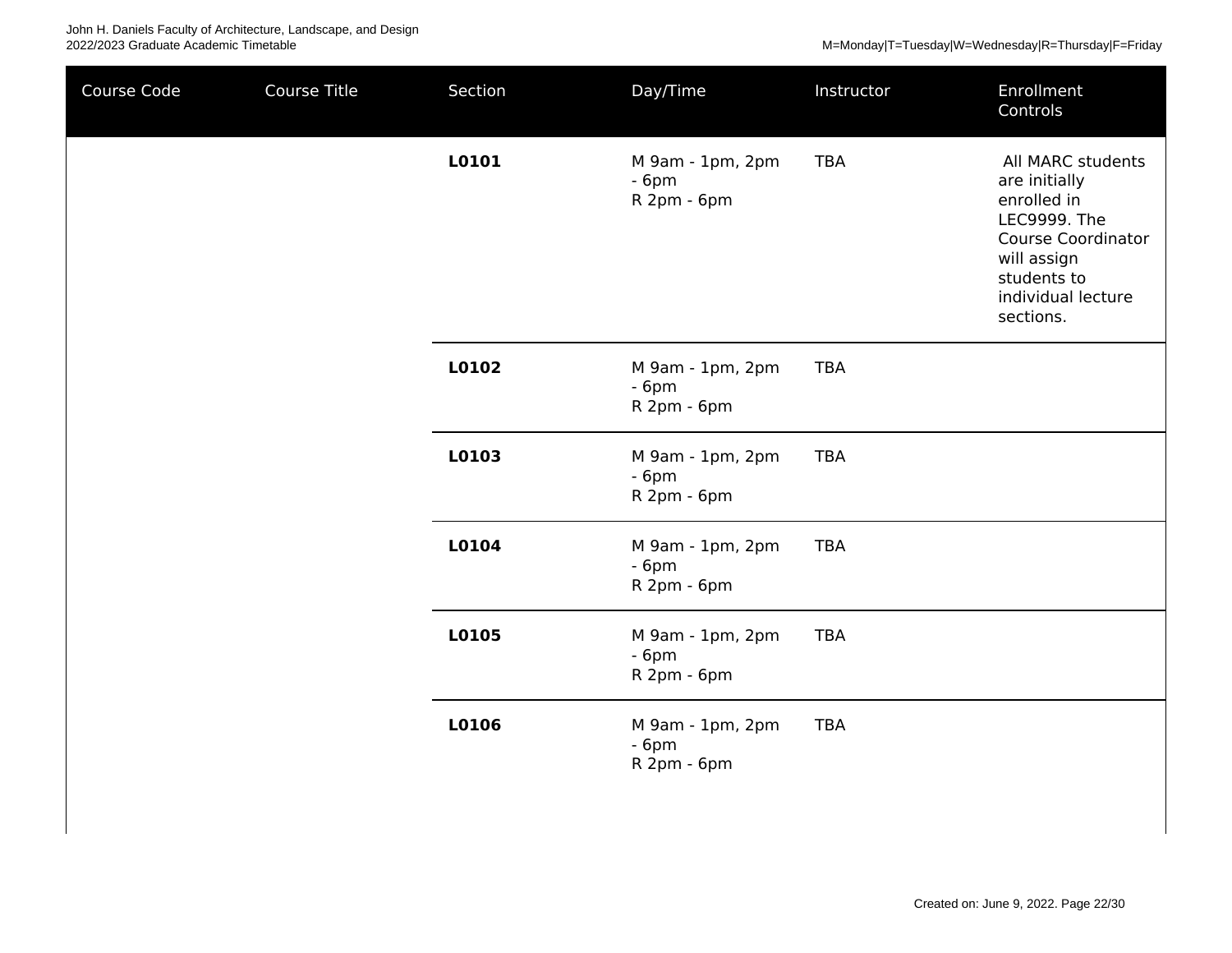| Course Code | Course Title | Section | Day/Time                                  | Instructor | Enrollment<br>Controls                                                                                                                                          |
|-------------|--------------|---------|-------------------------------------------|------------|-----------------------------------------------------------------------------------------------------------------------------------------------------------------|
|             |              | L0101   | M 9am - 1pm, 2pm<br>$-6pm$<br>R 2pm - 6pm | <b>TBA</b> | All MARC students<br>are initially<br>enrolled in<br>LEC9999. The<br><b>Course Coordinator</b><br>will assign<br>students to<br>individual lecture<br>sections. |
|             |              | L0102   | M 9am - 1pm, 2pm<br>$-6pm$<br>R 2pm - 6pm | <b>TBA</b> |                                                                                                                                                                 |
|             |              | L0103   | M 9am - 1pm, 2pm<br>$-6pm$<br>R 2pm - 6pm | <b>TBA</b> |                                                                                                                                                                 |
|             |              | L0104   | M 9am - 1pm, 2pm<br>$-6pm$<br>R 2pm - 6pm | <b>TBA</b> |                                                                                                                                                                 |
|             |              | L0105   | M 9am - 1pm, 2pm<br>$-6pm$<br>R 2pm - 6pm | <b>TBA</b> |                                                                                                                                                                 |
|             |              | L0106   | M 9am - 1pm, 2pm<br>$-6pm$<br>R 2pm - 6pm | <b>TBA</b> |                                                                                                                                                                 |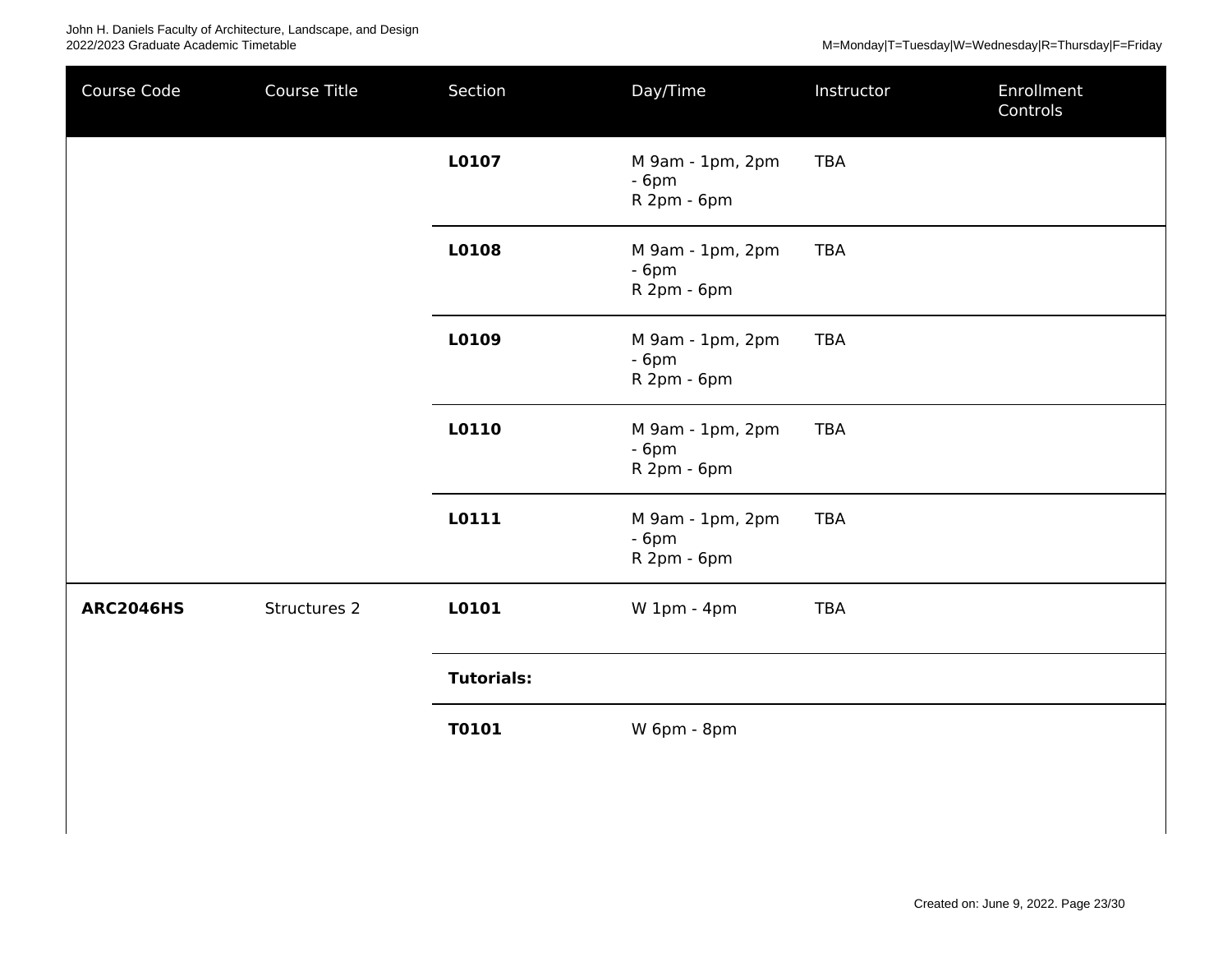| Course Code      | Course Title | Section           | Day/Time                                  | Instructor | Enrollment<br>Controls |
|------------------|--------------|-------------------|-------------------------------------------|------------|------------------------|
|                  |              | L0107             | M 9am - 1pm, 2pm<br>$-6pm$<br>R 2pm - 6pm | <b>TBA</b> |                        |
|                  |              | L0108             | M 9am - 1pm, 2pm<br>$-6pm$<br>R 2pm - 6pm | <b>TBA</b> |                        |
|                  |              | L0109             | M 9am - 1pm, 2pm<br>$-6pm$<br>R 2pm - 6pm | <b>TBA</b> |                        |
|                  |              | L0110             | M 9am - 1pm, 2pm<br>$-6pm$<br>R 2pm - 6pm | <b>TBA</b> |                        |
|                  |              | L0111             | M 9am - 1pm, 2pm<br>$-6pm$<br>R 2pm - 6pm | <b>TBA</b> |                        |
| <b>ARC2046HS</b> | Structures 2 | L0101             | W 1pm - 4pm                               | <b>TBA</b> |                        |
|                  |              | <b>Tutorials:</b> |                                           |            |                        |
|                  |              | <b>T0101</b>      | W 6pm - 8pm                               |            |                        |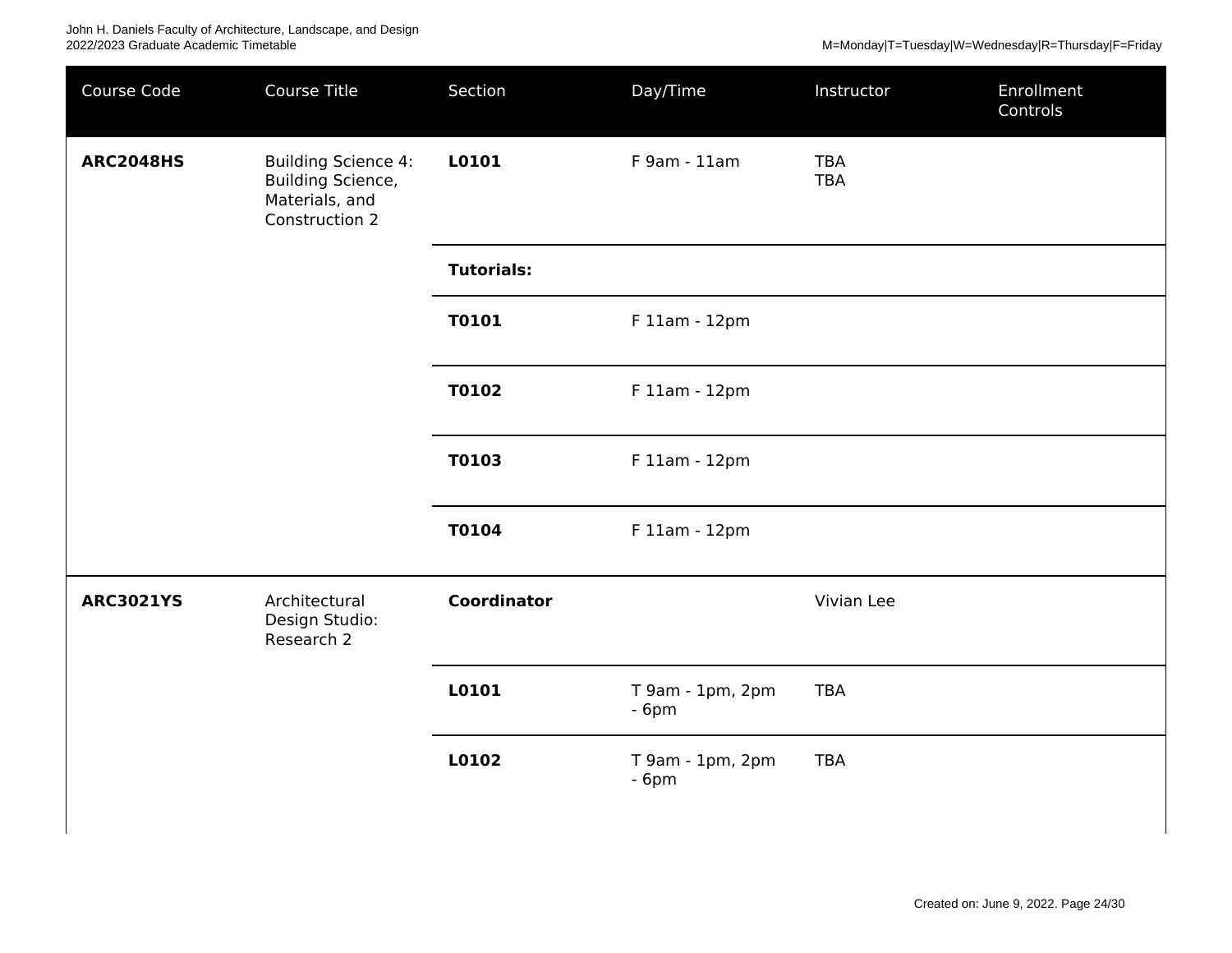| Course Code      | Course Title                                                                        | Section            | Day/Time                   | Instructor               | Enrollment<br>Controls |
|------------------|-------------------------------------------------------------------------------------|--------------------|----------------------------|--------------------------|------------------------|
| <b>ARC2048HS</b> | <b>Building Science 4:</b><br>Building Science,<br>Materials, and<br>Construction 2 | L0101              | F 9am - 11am               | <b>TBA</b><br><b>TBA</b> |                        |
|                  |                                                                                     | <b>Tutorials:</b>  |                            |                          |                        |
|                  |                                                                                     | T0101              | F 11am - 12pm              |                          |                        |
|                  |                                                                                     | T0102              | F 11am - 12pm              |                          |                        |
|                  |                                                                                     | T0103              | F 11am - 12pm              |                          |                        |
|                  |                                                                                     | T0104              | F 11am - 12pm              |                          |                        |
| <b>ARC3021YS</b> | Architectural<br>Design Studio:<br>Research 2                                       | <b>Coordinator</b> |                            | Vivian Lee               |                        |
|                  |                                                                                     | L0101              | T 9am - 1pm, 2pm<br>$-6pm$ | <b>TBA</b>               |                        |
|                  |                                                                                     | L0102              | T 9am - 1pm, 2pm<br>$-6pm$ | <b>TBA</b>               |                        |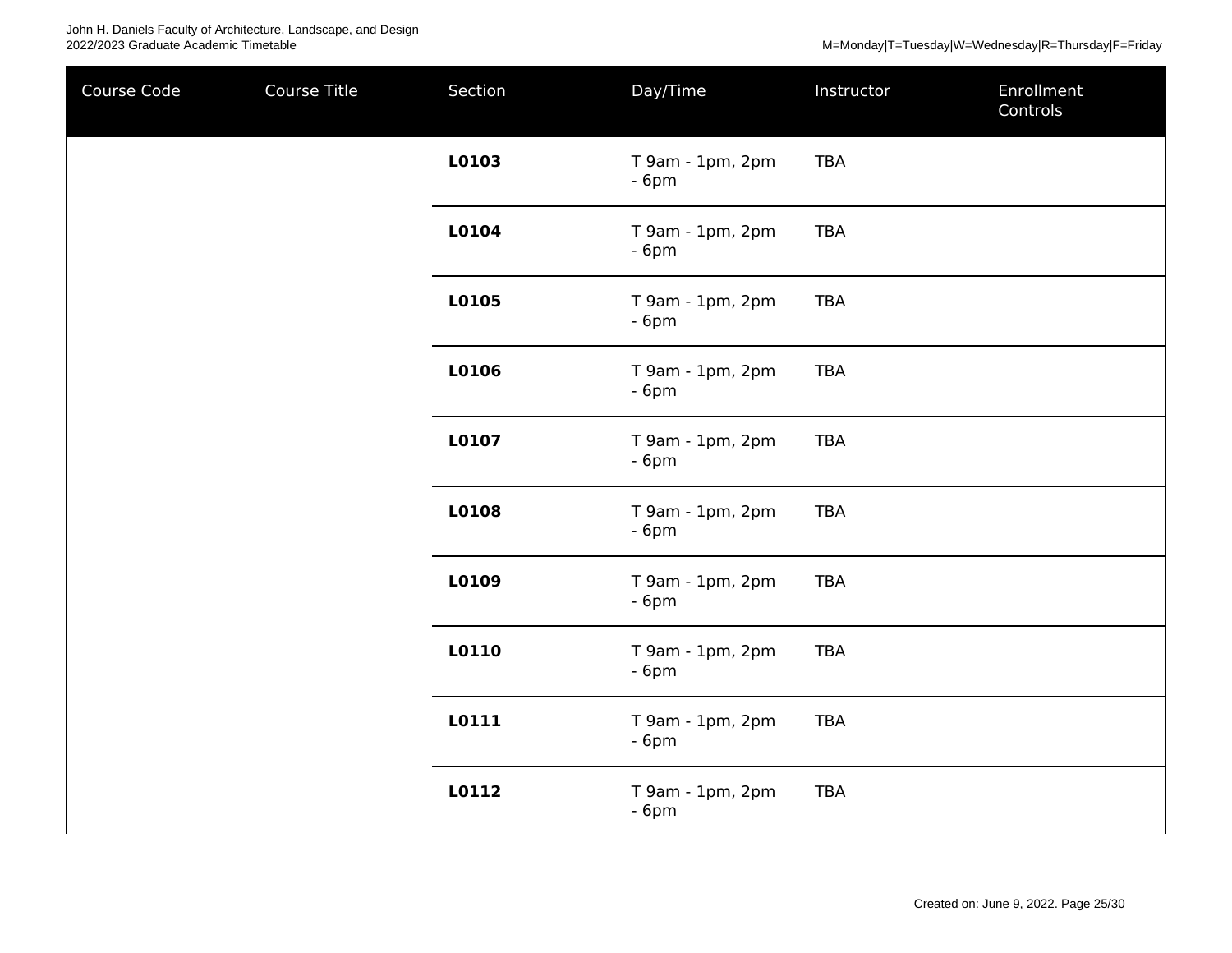John H. Daniels Faculty of Architecture, Landscape, and Design 2022/2023 Graduate Academic Timetable M=Monday|T=Tuesday|W=Wednesday|R=Thursday|F=Friday

| Course Code | Course Title | Section | Day/Time                   | Instructor | Enrollment<br>Controls |
|-------------|--------------|---------|----------------------------|------------|------------------------|
|             |              | L0103   | T 9am - 1pm, 2pm<br>$-6pm$ | <b>TBA</b> |                        |
|             |              | L0104   | T 9am - 1pm, 2pm<br>$-6pm$ | <b>TBA</b> |                        |
|             |              | L0105   | T 9am - 1pm, 2pm<br>$-6pm$ | <b>TBA</b> |                        |
|             |              | L0106   | T 9am - 1pm, 2pm<br>$-6pm$ | <b>TBA</b> |                        |
|             |              | L0107   | T 9am - 1pm, 2pm<br>$-6pm$ | <b>TBA</b> |                        |
|             |              | L0108   | T 9am - 1pm, 2pm<br>$-6pm$ | <b>TBA</b> |                        |
|             |              | L0109   | T 9am - 1pm, 2pm<br>$-6pm$ | <b>TBA</b> |                        |
|             |              | L0110   | T 9am - 1pm, 2pm<br>$-6pm$ | <b>TBA</b> |                        |
|             |              | L0111   | T 9am - 1pm, 2pm<br>$-6pm$ | <b>TBA</b> |                        |
|             |              | L0112   | T 9am - 1pm, 2pm<br>$-6pm$ | <b>TBA</b> |                        |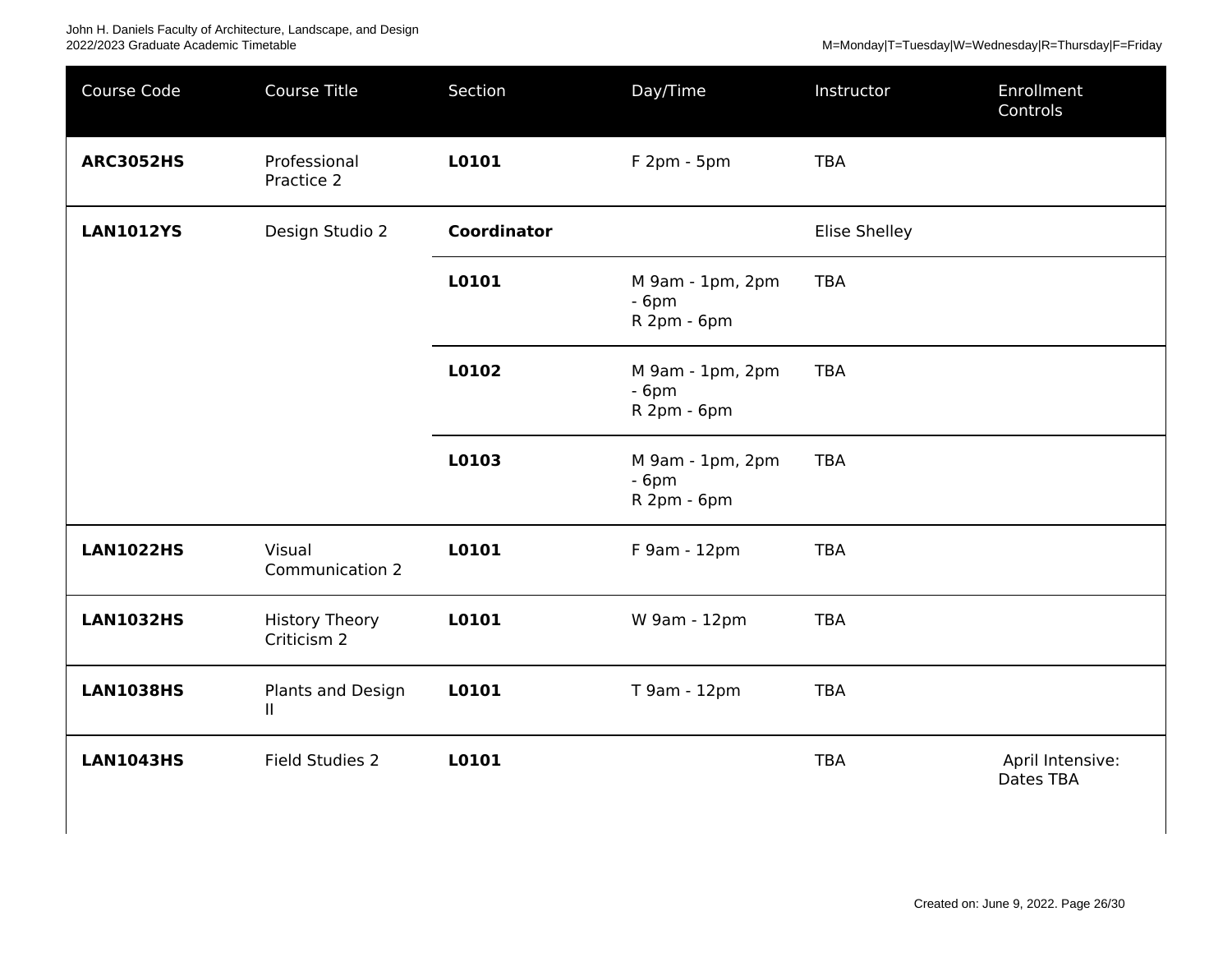| Course Code      | Course Title                         | Section            | Day/Time                                  | Instructor    | Enrollment<br>Controls        |
|------------------|--------------------------------------|--------------------|-------------------------------------------|---------------|-------------------------------|
| <b>ARC3052HS</b> | Professional<br>Practice 2           | L0101              | F 2pm - 5pm                               | <b>TBA</b>    |                               |
| <b>LAN1012YS</b> | Design Studio 2                      | <b>Coordinator</b> |                                           | Elise Shelley |                               |
|                  |                                      | L0101              | M 9am - 1pm, 2pm<br>$-6pm$<br>R 2pm - 6pm | <b>TBA</b>    |                               |
|                  |                                      | L0102              | M 9am - 1pm, 2pm<br>$-6pm$<br>R 2pm - 6pm | <b>TBA</b>    |                               |
|                  |                                      | L0103              | M 9am - 1pm, 2pm<br>$-6pm$<br>R 2pm - 6pm | <b>TBA</b>    |                               |
| <b>LAN1022HS</b> | Visual<br>Communication 2            | L0101              | F 9am - 12pm                              | <b>TBA</b>    |                               |
| <b>LAN1032HS</b> | <b>History Theory</b><br>Criticism 2 | L0101              | W 9am - 12pm                              | <b>TBA</b>    |                               |
| <b>LAN1038HS</b> | Plants and Design<br>Ш.              | L0101              | T 9am - 12pm                              | <b>TBA</b>    |                               |
| <b>LAN1043HS</b> | Field Studies 2                      | L0101              |                                           | <b>TBA</b>    | April Intensive:<br>Dates TBA |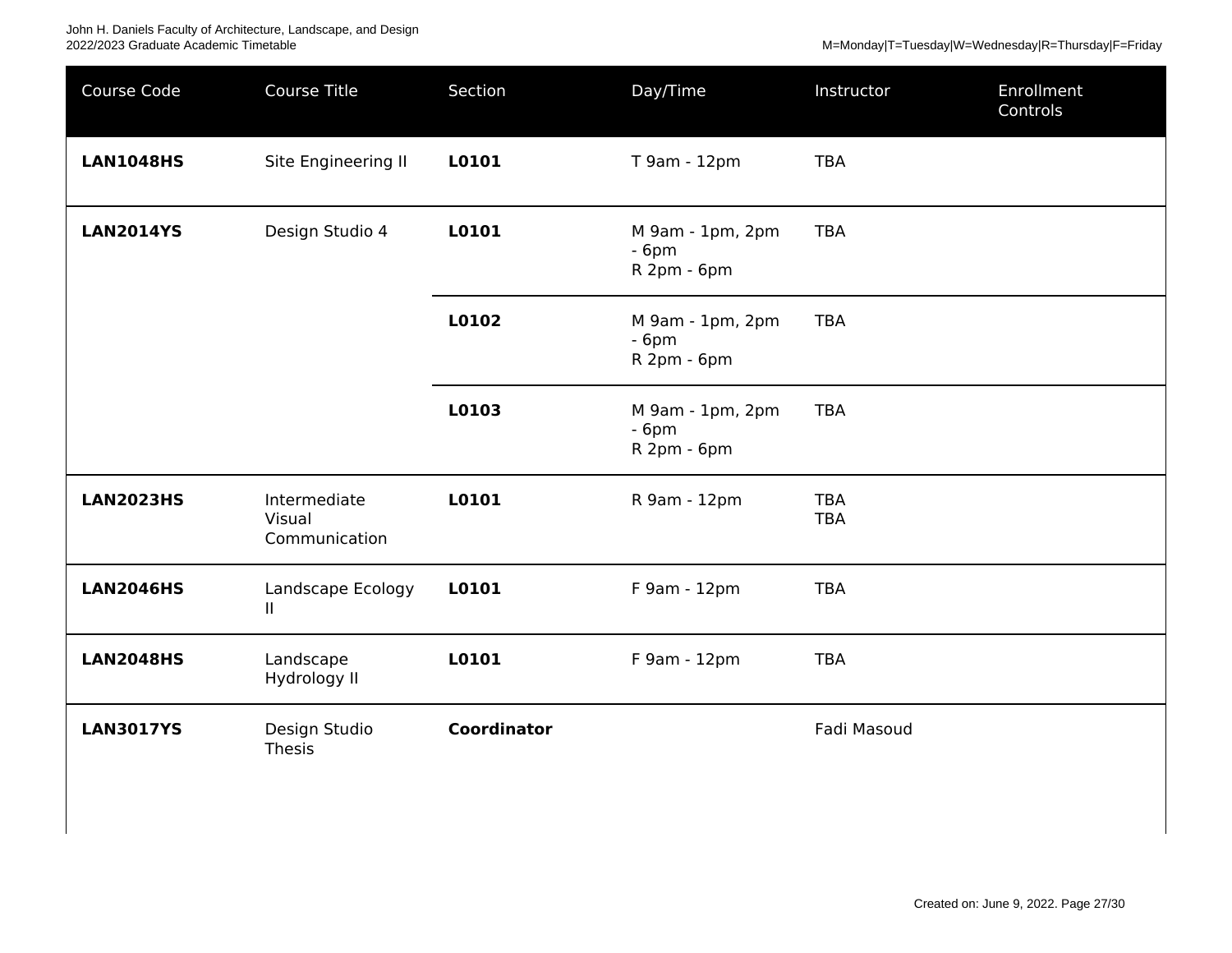| Course Code      | <b>Course Title</b>                     | Section            | Day/Time                                  | Instructor               | Enrollment<br>Controls |
|------------------|-----------------------------------------|--------------------|-------------------------------------------|--------------------------|------------------------|
| <b>LAN1048HS</b> | Site Engineering II                     | L0101              | T 9am - 12pm                              | <b>TBA</b>               |                        |
| <b>LAN2014YS</b> | Design Studio 4                         | L0101              | M 9am - 1pm, 2pm<br>$-6pm$<br>R 2pm - 6pm | <b>TBA</b>               |                        |
|                  |                                         | L0102              | M 9am - 1pm, 2pm<br>$-6pm$<br>R 2pm - 6pm | <b>TBA</b>               |                        |
|                  |                                         | L0103              | M 9am - 1pm, 2pm<br>$-6pm$<br>R 2pm - 6pm | <b>TBA</b>               |                        |
| <b>LAN2023HS</b> | Intermediate<br>Visual<br>Communication | L0101              | R 9am - 12pm                              | <b>TBA</b><br><b>TBA</b> |                        |
| <b>LAN2046HS</b> | Landscape Ecology<br>$\mathbf{H}$       | L0101              | F 9am - 12pm                              | <b>TBA</b>               |                        |
| <b>LAN2048HS</b> | Landscape<br>Hydrology II               | L0101              | F 9am - 12pm                              | <b>TBA</b>               |                        |
| <b>LAN3017YS</b> | Design Studio<br>Thesis                 | <b>Coordinator</b> |                                           | Fadi Masoud              |                        |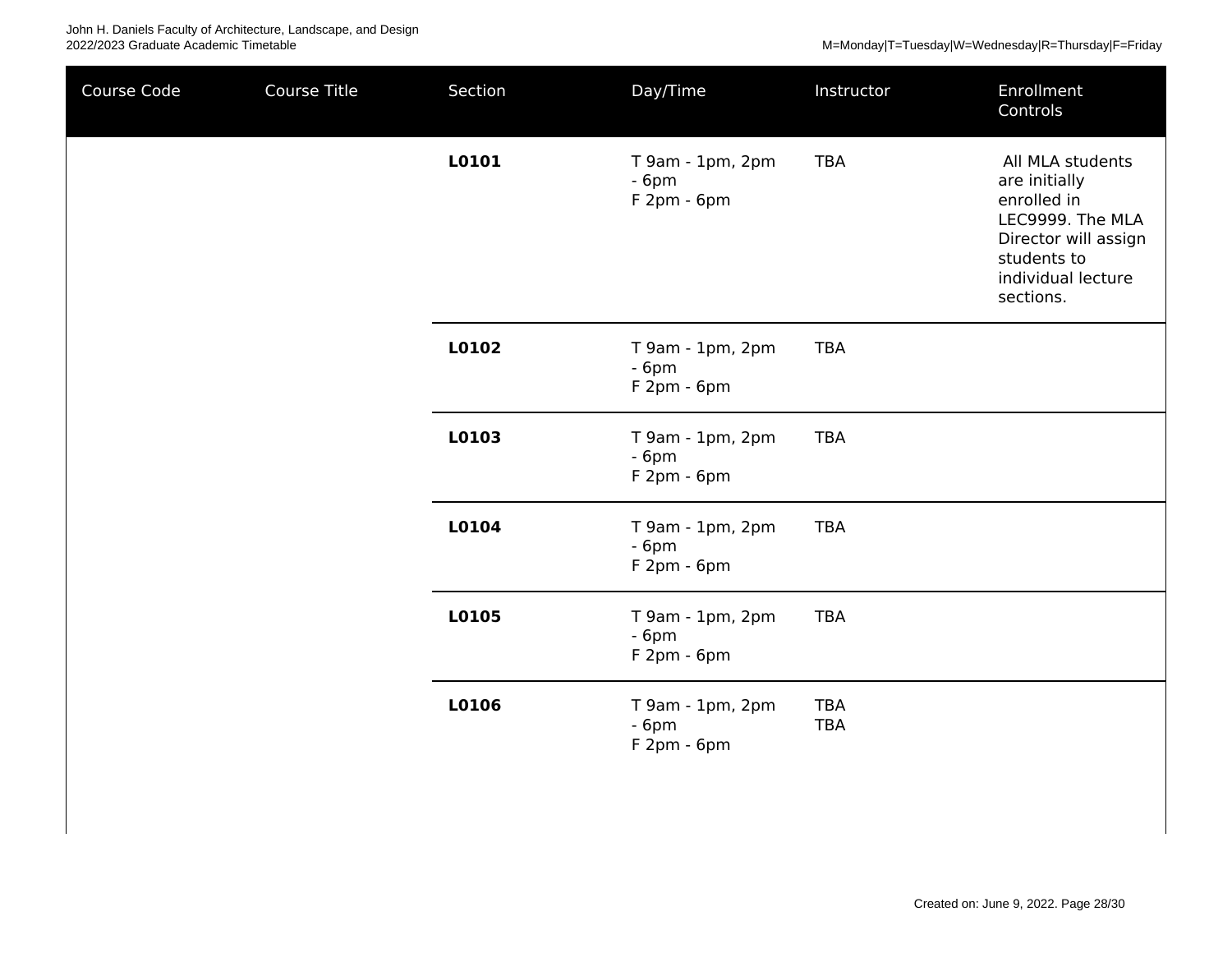| Course Code | Course Title | Section | Day/Time                                   | Instructor               | Enrollment<br>Controls                                                                                                                         |
|-------------|--------------|---------|--------------------------------------------|--------------------------|------------------------------------------------------------------------------------------------------------------------------------------------|
|             |              | L0101   | T 9am - 1pm, 2pm<br>$-6pm$<br>F 2pm - 6pm  | <b>TBA</b>               | All MLA students<br>are initially<br>enrolled in<br>LEC9999. The MLA<br>Director will assign<br>students to<br>individual lecture<br>sections. |
|             |              | L0102   | T 9am - 1pm, 2pm<br>$-6pm$<br>F 2pm - 6pm  | <b>TBA</b>               |                                                                                                                                                |
|             |              | L0103   | T 9am - 1pm, 2pm<br>$-6pm$<br>$F2pm - 6pm$ | <b>TBA</b>               |                                                                                                                                                |
|             |              | L0104   | T 9am - 1pm, 2pm<br>$-6pm$<br>$F2pm - 6pm$ | <b>TBA</b>               |                                                                                                                                                |
|             |              | L0105   | T 9am - 1pm, 2pm<br>$-6pm$<br>$F2pm - 6pm$ | <b>TBA</b>               |                                                                                                                                                |
|             |              | L0106   | T 9am - 1pm, 2pm<br>$-6pm$<br>$F2pm - 6pm$ | <b>TBA</b><br><b>TBA</b> |                                                                                                                                                |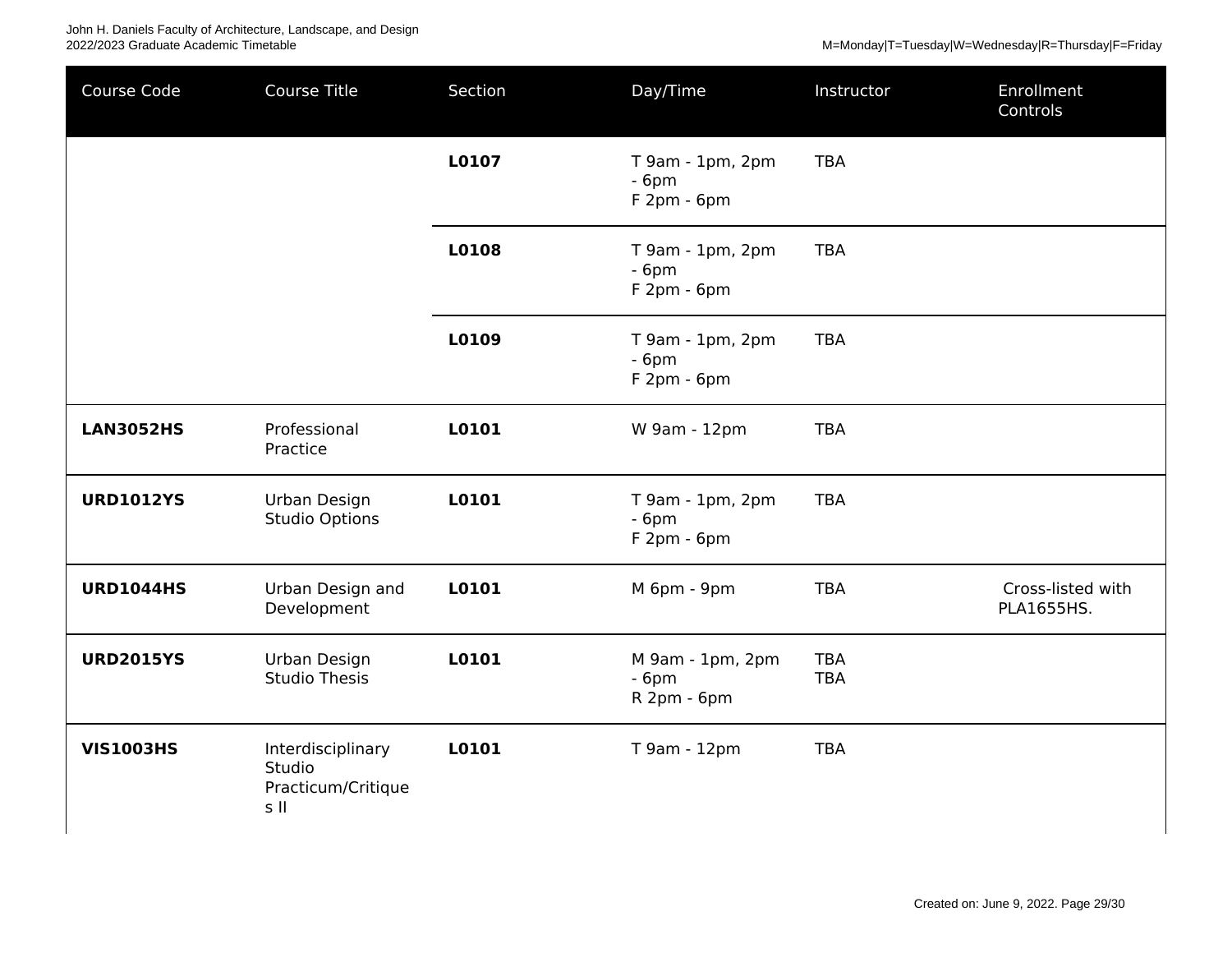| Course Code      | Course Title                                              | Section | Day/Time                                   | Instructor               | Enrollment<br>Controls          |
|------------------|-----------------------------------------------------------|---------|--------------------------------------------|--------------------------|---------------------------------|
|                  |                                                           | L0107   | T 9am - 1pm, 2pm<br>$-6pm$<br>F 2pm - 6pm  | <b>TBA</b>               |                                 |
|                  |                                                           | L0108   | T 9am - 1pm, 2pm<br>$-6pm$<br>F 2pm - 6pm  | <b>TBA</b>               |                                 |
|                  |                                                           | L0109   | T 9am - 1pm, 2pm<br>$-6pm$<br>$F2pm - 6pm$ | <b>TBA</b>               |                                 |
| <b>LAN3052HS</b> | Professional<br>Practice                                  | L0101   | W 9am - 12pm                               | <b>TBA</b>               |                                 |
| <b>URD1012YS</b> | Urban Design<br><b>Studio Options</b>                     | L0101   | T 9am - 1pm, 2pm<br>$-6pm$<br>F 2pm - 6pm  | <b>TBA</b>               |                                 |
| <b>URD1044HS</b> | Urban Design and<br>Development                           | L0101   | M 6pm - 9pm                                | <b>TBA</b>               | Cross-listed with<br>PLA1655HS. |
| <b>URD2015YS</b> | Urban Design<br><b>Studio Thesis</b>                      | L0101   | M 9am - 1pm, 2pm<br>$-6pm$<br>R 2pm - 6pm  | <b>TBA</b><br><b>TBA</b> |                                 |
| <b>VIS1003HS</b> | Interdisciplinary<br>Studio<br>Practicum/Critique<br>s II | L0101   | T 9am - 12pm                               | <b>TBA</b>               |                                 |